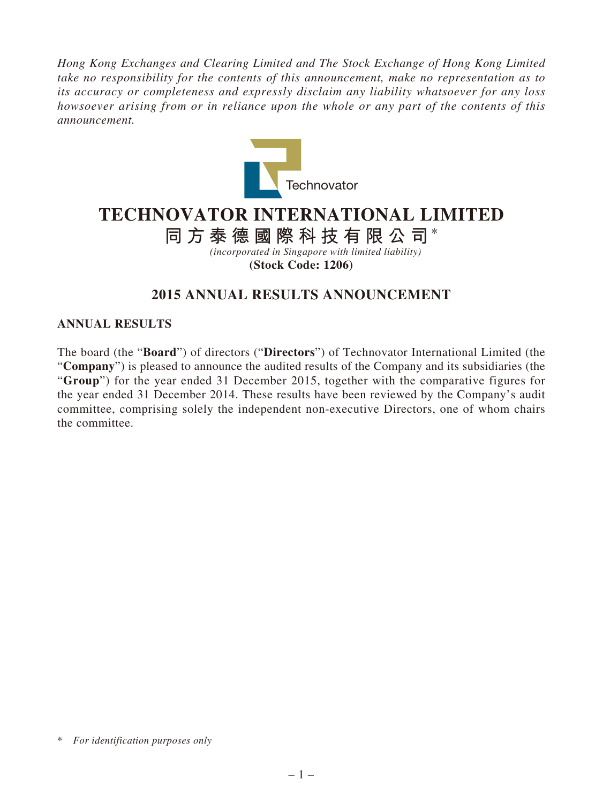*Hong Kong Exchanges and Clearing Limited and The Stock Exchange of Hong Kong Limited take no responsibility for the contents of this announcement, make no representation as to its accuracy or completeness and expressly disclaim any liability whatsoever for any loss howsoever arising from or in reliance upon the whole or any part of the contents of this announcement.*



# **TECHNOVATOR INTERNATIONAL LIMITED**

# **同方泰德國際科技有限公司**\*

*(incorporated in Singapore with limited liability)*

**(Stock Code: 1206)**

# **2015 ANNUAL RESULTS ANNOUNCEMENT**

### **ANNUAL RESULTS**

The board (the "**Board**") of directors ("**Directors**") of Technovator International Limited (the "**Company**") is pleased to announce the audited results of the Company and its subsidiaries (the "**Group**") for the year ended 31 December 2015, together with the comparative figures for the year ended 31 December 2014. These results have been reviewed by the Company's audit committee, comprising solely the independent non-executive Directors, one of whom chairs the committee.

<sup>\*</sup> *For identification purposes only*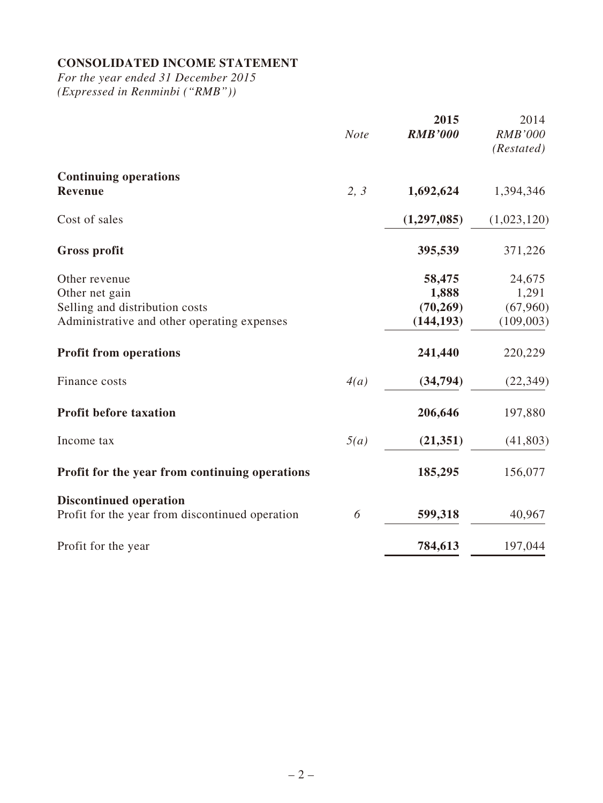# **CONSOLIDATED INCOME STATEMENT**

*For the year ended 31 December 2015 (Expressed in Renminbi ("RMB"))*

|                                                 | <b>Note</b> | 2015<br><b>RMB'000</b> | 2014<br><b>RMB'000</b><br>(Restated) |
|-------------------------------------------------|-------------|------------------------|--------------------------------------|
| <b>Continuing operations</b><br>Revenue         | 2, 3        | 1,692,624              | 1,394,346                            |
| Cost of sales                                   |             | (1,297,085)            | (1,023,120)                          |
| <b>Gross profit</b>                             |             | 395,539                | 371,226                              |
| Other revenue                                   |             | 58,475                 | 24,675                               |
| Other net gain                                  |             | 1,888                  | 1,291                                |
| Selling and distribution costs                  |             | (70, 269)              | (67,960)                             |
| Administrative and other operating expenses     |             | (144, 193)             | (109,003)                            |
| <b>Profit from operations</b>                   |             | 241,440                | 220,229                              |
| Finance costs                                   | 4(a)        | (34,794)               | (22, 349)                            |
| <b>Profit before taxation</b>                   |             | 206,646                | 197,880                              |
| Income tax                                      | 5(a)        | (21, 351)              | (41, 803)                            |
| Profit for the year from continuing operations  |             | 185,295                | 156,077                              |
| <b>Discontinued operation</b>                   |             |                        |                                      |
| Profit for the year from discontinued operation | 6           | 599,318                | 40,967                               |
| Profit for the year                             |             | 784,613                | 197,044                              |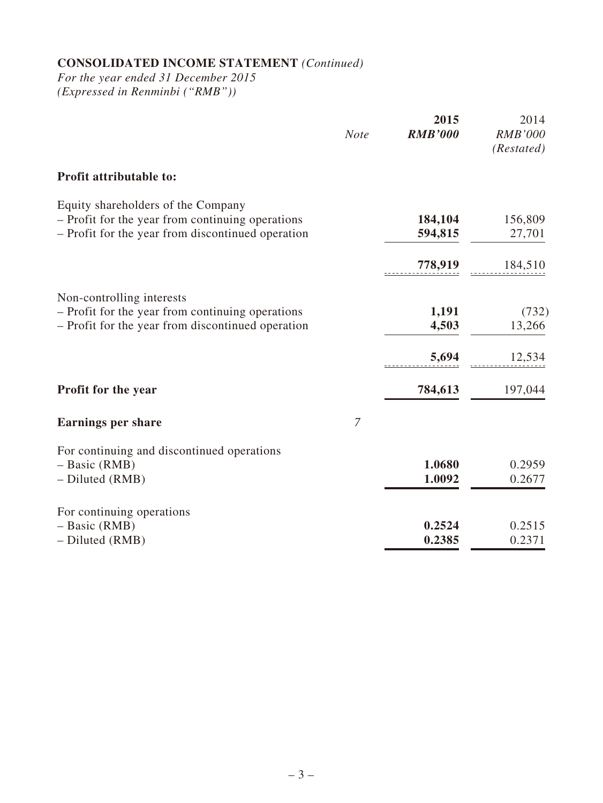# **CONSOLIDATED INCOME STATEMENT** *(Continued)*

*For the year ended 31 December 2015 (Expressed in Renminbi ("RMB"))*

|                                                                                        | <b>Note</b> | 2015<br><b>RMB'000</b> | 2014<br><b>RMB'000</b><br>(Restated) |
|----------------------------------------------------------------------------------------|-------------|------------------------|--------------------------------------|
| <b>Profit attributable to:</b>                                                         |             |                        |                                      |
|                                                                                        |             |                        |                                      |
| Equity shareholders of the Company<br>- Profit for the year from continuing operations |             | 184,104                | 156,809                              |
| - Profit for the year from discontinued operation                                      |             | 594,815                | 27,701                               |
|                                                                                        |             | 778,919                | 184,510                              |
| Non-controlling interests                                                              |             |                        |                                      |
| - Profit for the year from continuing operations                                       |             | 1,191                  | (732)                                |
| - Profit for the year from discontinued operation                                      |             | 4,503                  | 13,266                               |
|                                                                                        |             | 5,694                  | 12,534                               |
| Profit for the year                                                                    |             | 784,613                | 197,044                              |
| <b>Earnings per share</b>                                                              | 7           |                        |                                      |
| For continuing and discontinued operations                                             |             |                        |                                      |
| $-$ Basic (RMB)                                                                        |             | 1.0680                 | 0.2959                               |
| - Diluted (RMB)                                                                        |             | 1.0092                 | 0.2677                               |
| For continuing operations                                                              |             |                        |                                      |
| $-$ Basic (RMB)                                                                        |             | 0.2524                 | 0.2515                               |
| - Diluted (RMB)                                                                        |             | 0.2385                 | 0.2371                               |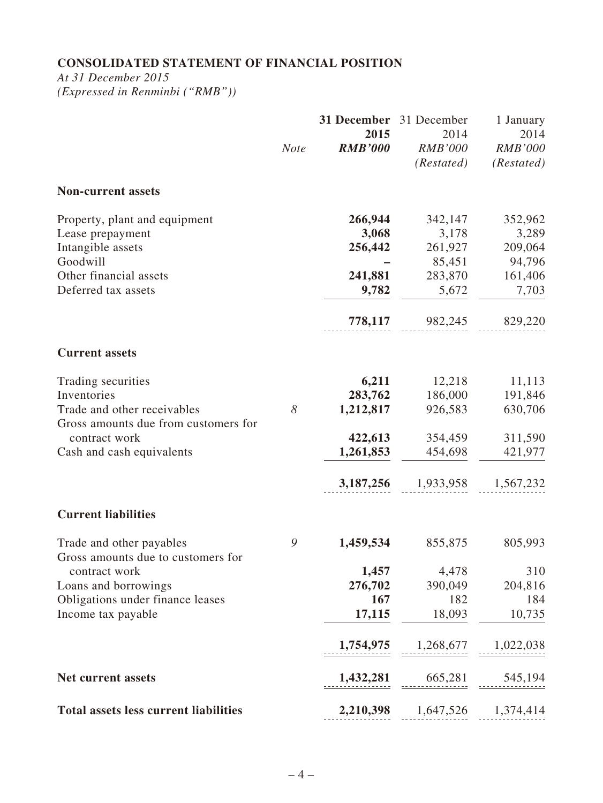# **CONSOLIDATED STATEMENT OF FINANCIAL POSITION**

*At 31 December 2015*

*(Expressed in Renminbi ("RMB"))*

|                                                     |             | 31 December<br>2015 | 31 December<br>2014 | 1 January<br>2014 |
|-----------------------------------------------------|-------------|---------------------|---------------------|-------------------|
|                                                     | <b>Note</b> | <b>RMB'000</b>      | <b>RMB'000</b>      | <b>RMB'000</b>    |
|                                                     |             |                     | (Restated)          | (Restated)        |
| <b>Non-current assets</b>                           |             |                     |                     |                   |
| Property, plant and equipment                       |             | 266,944             | 342,147             | 352,962           |
| Lease prepayment                                    |             | 3,068               | 3,178               | 3,289             |
| Intangible assets                                   |             | 256,442             | 261,927             | 209,064           |
| Goodwill                                            |             |                     | 85,451              | 94,796            |
| Other financial assets                              |             | 241,881             | 283,870             | 161,406           |
| Deferred tax assets                                 |             | 9,782               | 5,672               | 7,703             |
|                                                     |             | 778,117             | 982,245             | 829,220           |
| <b>Current assets</b>                               |             |                     |                     |                   |
| Trading securities                                  |             | 6,211               | 12,218              | 11,113            |
| Inventories                                         |             | 283,762             | 186,000             | 191,846           |
| Trade and other receivables                         | 8           | 1,212,817           | 926,583             | 630,706           |
| Gross amounts due from customers for                |             |                     |                     |                   |
| contract work                                       |             | 422,613             | 354,459             | 311,590           |
| Cash and cash equivalents                           |             | 1,261,853           | 454,698             | 421,977           |
|                                                     |             | 3,187,256           | 1,933,958           | 1,567,232         |
| <b>Current liabilities</b>                          |             |                     |                     |                   |
| Trade and other payables                            | 9           | 1,459,534           | 855,875             | 805,993           |
| Gross amounts due to customers for<br>contract work |             | 1,457               | 4,478               | 310               |
| Loans and borrowings                                |             | 276,702             | 390,049             | 204,816           |
| Obligations under finance leases                    |             | 167                 | 182                 | 184               |
| Income tax payable                                  |             | 17,115              | 18,093              | 10,735            |
|                                                     |             | 1,754,975           | 1,268,677           | 1,022,038         |
|                                                     |             |                     |                     |                   |
| <b>Net current assets</b>                           |             | 1,432,281           | 665,281             | 545,194           |
| <b>Total assets less current liabilities</b>        |             | 2,210,398           | 1,647,526           | 1,374,414         |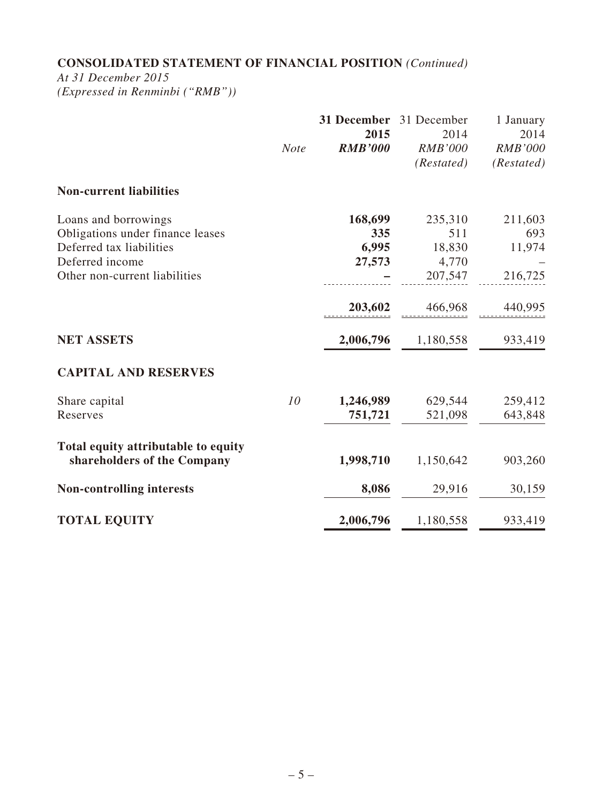# **CONSOLIDATED STATEMENT OF FINANCIAL POSITION** *(Continued)*

*At 31 December 2015*

*(Expressed in Renminbi ("RMB"))*

|                                                                    | <b>Note</b> | 31 December<br>2015<br><b>RMB'000</b> | 31 December<br>2014<br><b>RMB'000</b><br>(Restated) | 1 January<br>2014<br><b>RMB'000</b><br>(Restated) |
|--------------------------------------------------------------------|-------------|---------------------------------------|-----------------------------------------------------|---------------------------------------------------|
| <b>Non-current liabilities</b>                                     |             |                                       |                                                     |                                                   |
| Loans and borrowings                                               |             | 168,699                               | 235,310                                             | 211,603                                           |
| Obligations under finance leases                                   |             | 335                                   | 511                                                 | 693                                               |
| Deferred tax liabilities                                           |             | 6,995                                 | 18,830                                              | 11,974                                            |
| Deferred income                                                    |             | 27,573                                | 4,770                                               |                                                   |
| Other non-current liabilities                                      |             |                                       | 207,547                                             | 216,725                                           |
|                                                                    |             | 203,602                               | 466,968                                             | 440,995                                           |
| <b>NET ASSETS</b>                                                  |             | 2,006,796                             | 1,180,558                                           | 933,419                                           |
| <b>CAPITAL AND RESERVES</b>                                        |             |                                       |                                                     |                                                   |
| Share capital                                                      | 10          | 1,246,989                             | 629,544                                             | 259,412                                           |
| Reserves                                                           |             | 751,721                               | 521,098                                             | 643,848                                           |
| Total equity attributable to equity<br>shareholders of the Company |             | 1,998,710                             | 1,150,642                                           | 903,260                                           |
| <b>Non-controlling interests</b>                                   |             | 8,086                                 | 29,916                                              | 30,159                                            |
| <b>TOTAL EQUITY</b>                                                |             | 2,006,796                             | 1,180,558                                           | 933,419                                           |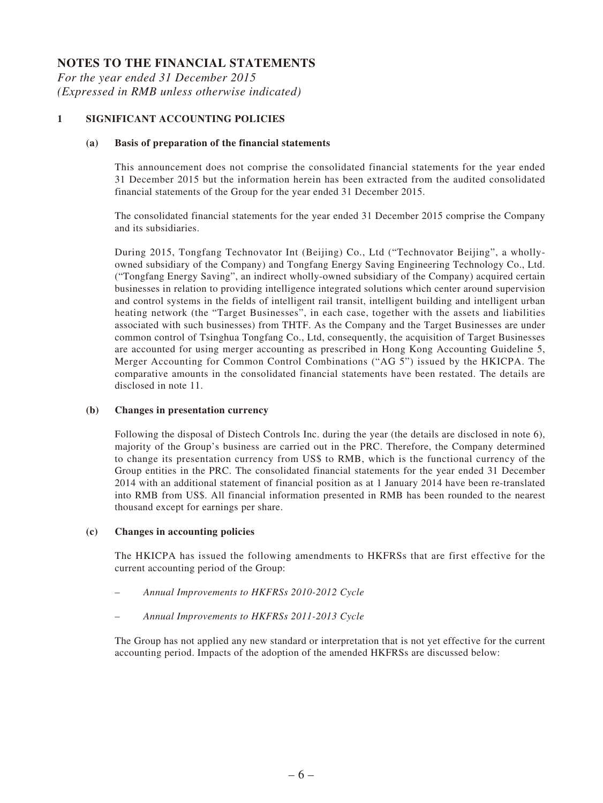## **NOTES TO THE FINANCIAL STATEMENTS**

*For the year ended 31 December 2015 (Expressed in RMB unless otherwise indicated)*

#### **1 SIGNIFICANT ACCOUNTING POLICIES**

#### **(a) Basis of preparation of the financial statements**

This announcement does not comprise the consolidated financial statements for the year ended 31 December 2015 but the information herein has been extracted from the audited consolidated financial statements of the Group for the year ended 31 December 2015.

The consolidated financial statements for the year ended 31 December 2015 comprise the Company and its subsidiaries.

During 2015, Tongfang Technovator Int (Beijing) Co., Ltd ("Technovator Beijing", a whollyowned subsidiary of the Company) and Tongfang Energy Saving Engineering Technology Co., Ltd. ("Tongfang Energy Saving", an indirect wholly-owned subsidiary of the Company) acquired certain businesses in relation to providing intelligence integrated solutions which center around supervision and control systems in the fields of intelligent rail transit, intelligent building and intelligent urban heating network (the "Target Businesses", in each case, together with the assets and liabilities associated with such businesses) from THTF. As the Company and the Target Businesses are under common control of Tsinghua Tongfang Co., Ltd, consequently, the acquisition of Target Businesses are accounted for using merger accounting as prescribed in Hong Kong Accounting Guideline 5, Merger Accounting for Common Control Combinations ("AG 5") issued by the HKICPA. The comparative amounts in the consolidated financial statements have been restated. The details are disclosed in note 11.

#### **(b) Changes in presentation currency**

Following the disposal of Distech Controls Inc. during the year (the details are disclosed in note 6), majority of the Group's business are carried out in the PRC. Therefore, the Company determined to change its presentation currency from US\$ to RMB, which is the functional currency of the Group entities in the PRC. The consolidated financial statements for the year ended 31 December 2014 with an additional statement of financial position as at 1 January 2014 have been re-translated into RMB from US\$. All financial information presented in RMB has been rounded to the nearest thousand except for earnings per share.

#### **(c) Changes in accounting policies**

The HKICPA has issued the following amendments to HKFRSs that are first effective for the current accounting period of the Group:

- *Annual Improvements to HKFRSs 2010-2012 Cycle*
- *Annual Improvements to HKFRSs 2011-2013 Cycle*

The Group has not applied any new standard or interpretation that is not yet effective for the current accounting period. Impacts of the adoption of the amended HKFRSs are discussed below: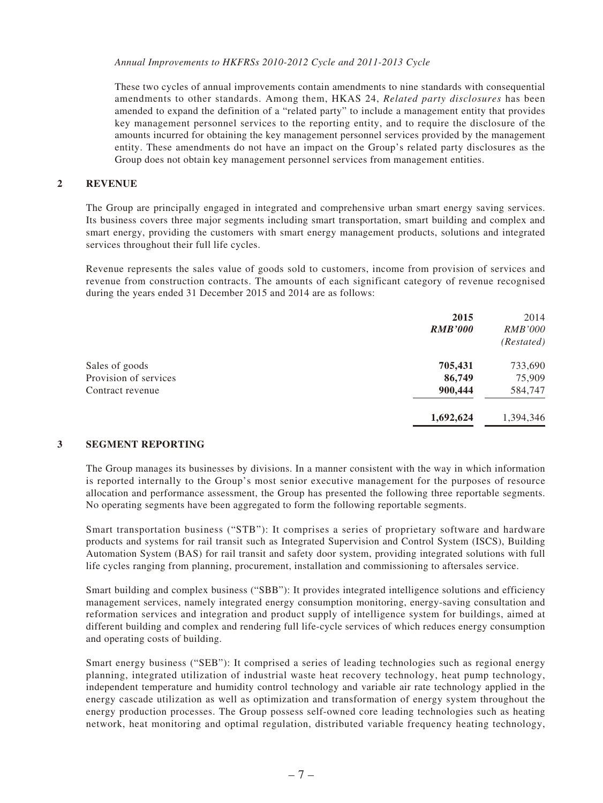*Annual Improvements to HKFRSs 2010-2012 Cycle and 2011-2013 Cycle*

These two cycles of annual improvements contain amendments to nine standards with consequential amendments to other standards. Among them, HKAS 24, *Related party disclosures* has been amended to expand the definition of a "related party" to include a management entity that provides key management personnel services to the reporting entity, and to require the disclosure of the amounts incurred for obtaining the key management personnel services provided by the management entity. These amendments do not have an impact on the Group's related party disclosures as the Group does not obtain key management personnel services from management entities.

#### **2 REVENUE**

The Group are principally engaged in integrated and comprehensive urban smart energy saving services. Its business covers three major segments including smart transportation, smart building and complex and smart energy, providing the customers with smart energy management products, solutions and integrated services throughout their full life cycles.

Revenue represents the sales value of goods sold to customers, income from provision of services and revenue from construction contracts. The amounts of each significant category of revenue recognised during the years ended 31 December 2015 and 2014 are as follows:

|                       | 2015           | 2014           |
|-----------------------|----------------|----------------|
|                       | <b>RMB'000</b> | <i>RMB'000</i> |
|                       |                | (Restated)     |
| Sales of goods        | 705,431        | 733,690        |
| Provision of services | 86,749         | 75,909         |
| Contract revenue      | 900,444        | 584,747        |
|                       | 1,692,624      | 1,394,346      |

#### **3 SEGMENT REPORTING**

The Group manages its businesses by divisions. In a manner consistent with the way in which information is reported internally to the Group's most senior executive management for the purposes of resource allocation and performance assessment, the Group has presented the following three reportable segments. No operating segments have been aggregated to form the following reportable segments.

Smart transportation business ("STB"): It comprises a series of proprietary software and hardware products and systems for rail transit such as Integrated Supervision and Control System (ISCS), Building Automation System (BAS) for rail transit and safety door system, providing integrated solutions with full life cycles ranging from planning, procurement, installation and commissioning to aftersales service.

Smart building and complex business ("SBB"): It provides integrated intelligence solutions and efficiency management services, namely integrated energy consumption monitoring, energy-saving consultation and reformation services and integration and product supply of intelligence system for buildings, aimed at different building and complex and rendering full life-cycle services of which reduces energy consumption and operating costs of building.

Smart energy business ("SEB"): It comprised a series of leading technologies such as regional energy planning, integrated utilization of industrial waste heat recovery technology, heat pump technology, independent temperature and humidity control technology and variable air rate technology applied in the energy cascade utilization as well as optimization and transformation of energy system throughout the energy production processes. The Group possess self-owned core leading technologies such as heating network, heat monitoring and optimal regulation, distributed variable frequency heating technology,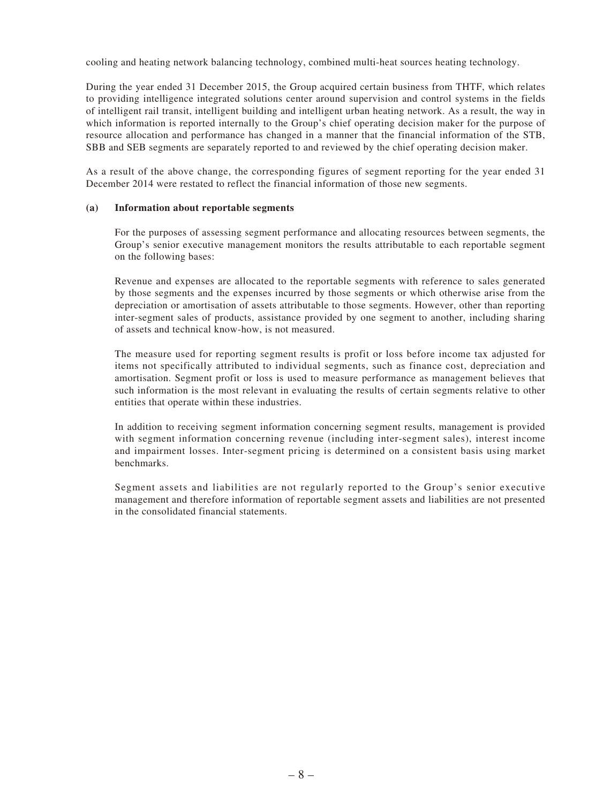cooling and heating network balancing technology, combined multi-heat sources heating technology.

During the year ended 31 December 2015, the Group acquired certain business from THTF, which relates to providing intelligence integrated solutions center around supervision and control systems in the fields of intelligent rail transit, intelligent building and intelligent urban heating network. As a result, the way in which information is reported internally to the Group's chief operating decision maker for the purpose of resource allocation and performance has changed in a manner that the financial information of the STB, SBB and SEB segments are separately reported to and reviewed by the chief operating decision maker.

As a result of the above change, the corresponding figures of segment reporting for the year ended 31 December 2014 were restated to reflect the financial information of those new segments.

#### **(a) Information about reportable segments**

For the purposes of assessing segment performance and allocating resources between segments, the Group's senior executive management monitors the results attributable to each reportable segment on the following bases:

Revenue and expenses are allocated to the reportable segments with reference to sales generated by those segments and the expenses incurred by those segments or which otherwise arise from the depreciation or amortisation of assets attributable to those segments. However, other than reporting inter-segment sales of products, assistance provided by one segment to another, including sharing of assets and technical know-how, is not measured.

The measure used for reporting segment results is profit or loss before income tax adjusted for items not specifically attributed to individual segments, such as finance cost, depreciation and amortisation. Segment profit or loss is used to measure performance as management believes that such information is the most relevant in evaluating the results of certain segments relative to other entities that operate within these industries.

In addition to receiving segment information concerning segment results, management is provided with segment information concerning revenue (including inter-segment sales), interest income and impairment losses. Inter-segment pricing is determined on a consistent basis using market benchmarks.

Segment assets and liabilities are not regularly reported to the Group's senior executive management and therefore information of reportable segment assets and liabilities are not presented in the consolidated financial statements.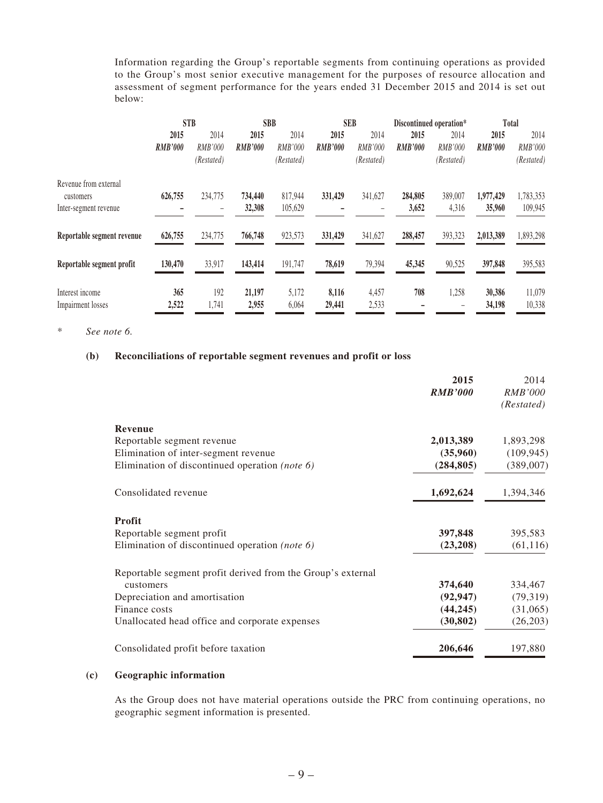Information regarding the Group's reportable segments from continuing operations as provided to the Group's most senior executive management for the purposes of resource allocation and assessment of segment performance for the years ended 31 December 2015 and 2014 is set out below:

|                            |                | <b>STB</b> |                | <b>SBB</b> | <b>SEB</b>     |                | Total<br>Discontinued operation* |            |                |                |
|----------------------------|----------------|------------|----------------|------------|----------------|----------------|----------------------------------|------------|----------------|----------------|
|                            | 2015           | 2014       | 2015           | 2014       | 2015           | 2014           | 2015                             | 2014       | 2015           | 2014           |
|                            | <b>RMB'000</b> | RMB'000    | <b>RMB'000</b> | RMB'000    | <b>RMB'000</b> | <b>RMB'000</b> | <b>RMB'000</b>                   | RMB'000    | <b>RMB'000</b> | <b>RMB'000</b> |
|                            |                | (Restated) |                | (Restated) |                | (Restated)     |                                  | (Restated) |                | (Restated)     |
| Revenue from external      |                |            |                |            |                |                |                                  |            |                |                |
| customers                  | 626,755        | 234,775    | 734,440        | 817,944    | 331,429        | 341,627        | 284,805                          | 389,007    | 1,977,429      | 1,783,353      |
| Inter-segment revenue      |                |            | 32,308         | 105,629    |                |                | 3,652                            | 4,316      | 35,960         | 109,945        |
| Reportable segment revenue | 626,755        | 234,775    | 766,748        | 923,573    | 331,429        | 341,627        | 288,457                          | 393,323    | 2,013,389      | 1,893,298      |
| Reportable segment profit  | 130,470        | 33,917     | 143,414        | 191,747    | 78,619         | 79,394         | 45,345                           | 90,525     | 397,848        | 395,583        |
| Interest income            | 365            | 192        | 21,197         | 5,172      | 8,116          | 4,457          | 708                              | 1,258      | 30,386         | 11,079         |
| Impairment losses          | 2,522          | 1,741      | 2,955          | 6,064      | 29,441         | 2,533          |                                  |            | 34,198         | 10,338         |

\* *See note 6.*

#### **(b) Reconciliations of reportable segment revenues and profit or loss**

|                                                             | 2015<br><b>RMB'000</b> | 2014<br><b>RMB'000</b><br>(Restated) |
|-------------------------------------------------------------|------------------------|--------------------------------------|
| <b>Revenue</b>                                              |                        |                                      |
| Reportable segment revenue                                  | 2,013,389              | 1,893,298                            |
| Elimination of inter-segment revenue                        | (35,960)               | (109, 945)                           |
| Elimination of discontinued operation (note 6)              | (284, 805)             | (389,007)                            |
| Consolidated revenue                                        | 1,692,624              | 1,394,346                            |
| <b>Profit</b>                                               |                        |                                      |
| Reportable segment profit                                   | 397,848                | 395,583                              |
| Elimination of discontinued operation (note 6)              | (23,208)               | (61, 116)                            |
| Reportable segment profit derived from the Group's external |                        |                                      |
| customers                                                   | 374,640                | 334,467                              |
| Depreciation and amortisation                               | (92, 947)              | (79,319)                             |
| Finance costs                                               | (44, 245)              | (31,065)                             |
| Unallocated head office and corporate expenses              | (30, 802)              | (26,203)                             |
| Consolidated profit before taxation                         | 206,646                | 197,880                              |

#### **(c) Geographic information**

As the Group does not have material operations outside the PRC from continuing operations, no geographic segment information is presented.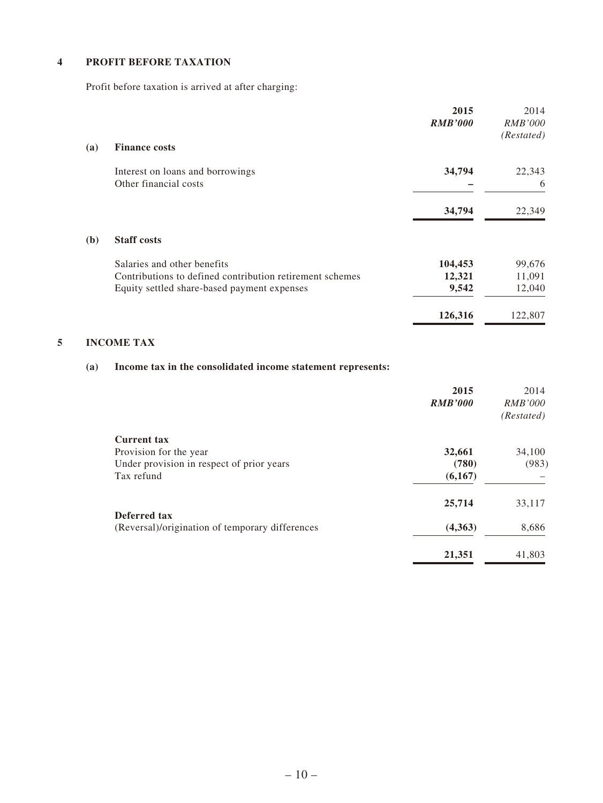#### **4 PROFIT BEFORE TAXATION**

Profit before taxation is arrived at after charging:

|            |                                                          | 2015<br><b>RMB'000</b> | 2014<br><b>RMB'000</b><br>(Restated) |
|------------|----------------------------------------------------------|------------------------|--------------------------------------|
| <b>(a)</b> | <b>Finance costs</b>                                     |                        |                                      |
|            | Interest on loans and borrowings                         | 34,794                 | 22,343                               |
|            | Other financial costs                                    |                        | 6                                    |
|            |                                                          | 34,794                 | 22,349                               |
| (b)        | <b>Staff costs</b>                                       |                        |                                      |
|            | Salaries and other benefits                              | 104,453                | 99,676                               |
|            | Contributions to defined contribution retirement schemes | 12,321                 | 11,091                               |
|            | Equity settled share-based payment expenses              | 9,542                  | 12,040                               |
|            |                                                          | 126,316                | 122,807                              |

#### **5 INCOME TAX**

# **(a) Income tax in the consolidated income statement represents:**

|                                                 | 2015<br><b>RMB'000</b> | 2014<br><i>RMB'000</i><br>(Restated) |
|-------------------------------------------------|------------------------|--------------------------------------|
| <b>Current tax</b>                              |                        |                                      |
| Provision for the year                          | 32,661                 | 34,100                               |
| Under provision in respect of prior years       | (780)                  | (983)                                |
| Tax refund                                      | (6,167)                |                                      |
| Deferred tax                                    | 25,714                 | 33,117                               |
| (Reversal)/origination of temporary differences | (4,363)                | 8,686                                |
|                                                 | 21,351                 | 41,803                               |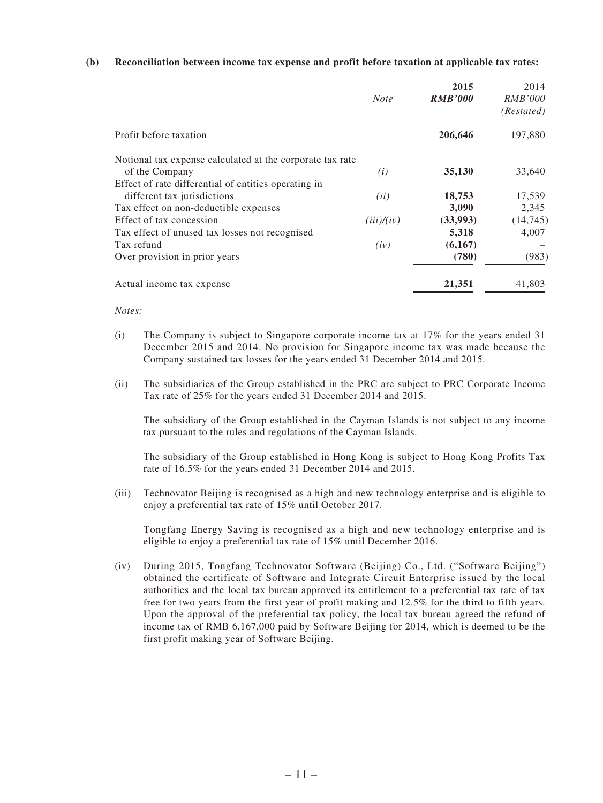#### **(b) Reconciliation between income tax expense and profit before taxation at applicable tax rates:**

|                                                           | <b>Note</b> | 2015<br><b>RMB'000</b> | 2014<br><i>RMB'000</i><br>(Restated) |
|-----------------------------------------------------------|-------------|------------------------|--------------------------------------|
| Profit before taxation                                    |             | 206,646                | 197,880                              |
| Notional tax expense calculated at the corporate tax rate |             |                        |                                      |
| of the Company                                            | (i)         | 35,130                 | 33,640                               |
| Effect of rate differential of entities operating in      |             |                        |                                      |
| different tax jurisdictions                               | (ii)        | 18,753                 | 17,539                               |
| Tax effect on non-deductible expenses                     |             | 3,090                  | 2,345                                |
| Effect of tax concession                                  | (iii)/(iv)  | (33,993)               | (14, 745)                            |
| Tax effect of unused tax losses not recognised            |             | 5,318                  | 4,007                                |
| Tax refund                                                | (iv)        | (6,167)                |                                      |
| Over provision in prior years                             |             | (780)                  | (983)                                |
| Actual income tax expense                                 |             | 21,351                 | 41,803                               |

*Notes:*

- (i) The Company is subject to Singapore corporate income tax at 17% for the years ended 31 December 2015 and 2014. No provision for Singapore income tax was made because the Company sustained tax losses for the years ended 31 December 2014 and 2015.
- (ii) The subsidiaries of the Group established in the PRC are subject to PRC Corporate Income Tax rate of 25% for the years ended 31 December 2014 and 2015.

The subsidiary of the Group established in the Cayman Islands is not subject to any income tax pursuant to the rules and regulations of the Cayman Islands.

The subsidiary of the Group established in Hong Kong is subject to Hong Kong Profits Tax rate of 16.5% for the years ended 31 December 2014 and 2015.

(iii) Technovator Beijing is recognised as a high and new technology enterprise and is eligible to enjoy a preferential tax rate of 15% until October 2017.

Tongfang Energy Saving is recognised as a high and new technology enterprise and is eligible to enjoy a preferential tax rate of 15% until December 2016.

(iv) During 2015, Tongfang Technovator Software (Beijing) Co., Ltd. ("Software Beijing") obtained the certificate of Software and Integrate Circuit Enterprise issued by the local authorities and the local tax bureau approved its entitlement to a preferential tax rate of tax free for two years from the first year of profit making and 12.5% for the third to fifth years. Upon the approval of the preferential tax policy, the local tax bureau agreed the refund of income tax of RMB 6,167,000 paid by Software Beijing for 2014, which is deemed to be the first profit making year of Software Beijing.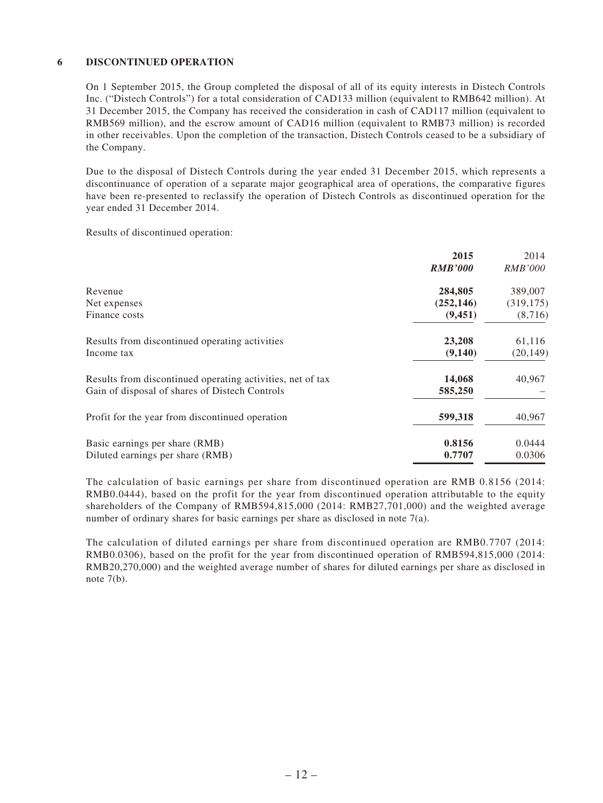#### **6 DISCONTINUED OPERATION**

On 1 September 2015, the Group completed the disposal of all of its equity interests in Distech Controls Inc. ("Distech Controls") for a total consideration of CAD133 million (equivalent to RMB642 million). At 31 December 2015, the Company has received the consideration in cash of CAD117 million (equivalent to RMB569 million), and the escrow amount of CAD16 million (equivalent to RMB73 million) is recorded in other receivables. Upon the completion of the transaction, Distech Controls ceased to be a subsidiary of the Company.

Due to the disposal of Distech Controls during the year ended 31 December 2015, which represents a discontinuance of operation of a separate major geographical area of operations, the comparative figures have been re-presented to reclassify the operation of Distech Controls as discontinued operation for the year ended 31 December 2014.

Results of discontinued operation:

|                                                            | 2015           | 2014           |
|------------------------------------------------------------|----------------|----------------|
|                                                            | <b>RMB'000</b> | <i>RMB'000</i> |
| Revenue                                                    | 284,805        | 389,007        |
| Net expenses                                               | (252, 146)     | (319, 175)     |
| Finance costs                                              | (9, 451)       | (8,716)        |
| Results from discontinued operating activities             | 23,208         | 61,116         |
| Income tax                                                 | (9,140)        | (20, 149)      |
| Results from discontinued operating activities, net of tax | 14,068         | 40,967         |
| Gain of disposal of shares of Distech Controls             | 585,250        |                |
| Profit for the year from discontinued operation            | 599,318        | 40,967         |
| Basic earnings per share (RMB)                             | 0.8156         | 0.0444         |
| Diluted earnings per share (RMB)                           | 0.7707         | 0.0306         |

The calculation of basic earnings per share from discontinued operation are RMB 0.8156 (2014: RMB0.0444), based on the profit for the year from discontinued operation attributable to the equity shareholders of the Company of RMB594,815,000 (2014: RMB27,701,000) and the weighted average number of ordinary shares for basic earnings per share as disclosed in note 7(a).

The calculation of diluted earnings per share from discontinued operation are RMB0.7707 (2014: RMB0.0306), based on the profit for the year from discontinued operation of RMB594,815,000 (2014: RMB20,270,000) and the weighted average number of shares for diluted earnings per share as disclosed in note  $7(b)$ .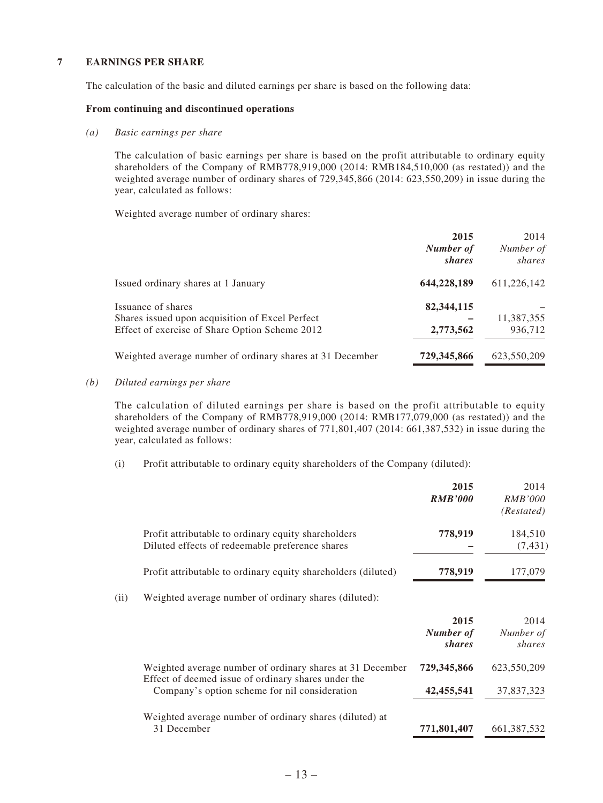#### **7 EARNINGS PER SHARE**

The calculation of the basic and diluted earnings per share is based on the following data:

#### **From continuing and discontinued operations**

#### *(a) Basic earnings per share*

The calculation of basic earnings per share is based on the profit attributable to ordinary equity shareholders of the Company of RMB778,919,000 (2014: RMB184,510,000 (as restated)) and the weighted average number of ordinary shares of 729,345,866 (2014: 623,550,209) in issue during the year, calculated as follows:

Weighted average number of ordinary shares:

|                                                                                                                         | 2015<br>Number of<br>shares | 2014<br>Number of<br>shares |
|-------------------------------------------------------------------------------------------------------------------------|-----------------------------|-----------------------------|
| Issued ordinary shares at 1 January                                                                                     | 644,228,189                 | 611,226,142                 |
| Issuance of shares<br>Shares issued upon acquisition of Excel Perfect<br>Effect of exercise of Share Option Scheme 2012 | 82,344,115<br>2,773,562     | 11,387,355<br>936,712       |
| Weighted average number of ordinary shares at 31 December                                                               | 729,345,866                 | 623,550,209                 |

#### *(b) Diluted earnings per share*

The calculation of diluted earnings per share is based on the profit attributable to equity shareholders of the Company of RMB778,919,000 (2014: RMB177,079,000 (as restated)) and the weighted average number of ordinary shares of 771,801,407 (2014: 661,387,532) in issue during the year, calculated as follows:

(i) Profit attributable to ordinary equity shareholders of the Company (diluted):

|      |                                                                                                                  | 2015<br><b>RMB'000</b>      | 2014<br><i>RMB'000</i><br>(Restated) |
|------|------------------------------------------------------------------------------------------------------------------|-----------------------------|--------------------------------------|
|      | Profit attributable to ordinary equity shareholders<br>Diluted effects of redeemable preference shares           | 778,919                     | 184,510<br>(7, 431)                  |
|      | Profit attributable to ordinary equity shareholders (diluted)                                                    | 778,919                     | 177,079                              |
| (ii) | Weighted average number of ordinary shares (diluted):                                                            |                             |                                      |
|      |                                                                                                                  | 2015<br>Number of<br>shares | 2014<br>Number of<br>shares          |
|      | Weighted average number of ordinary shares at 31 December<br>Effect of deemed issue of ordinary shares under the | 729,345,866                 | 623,550,209                          |
|      | Company's option scheme for nil consideration                                                                    | 42, 455, 541                | 37,837,323                           |
|      | Weighted average number of ordinary shares (diluted) at<br>31 December                                           | 771,801,407                 | 661, 387, 532                        |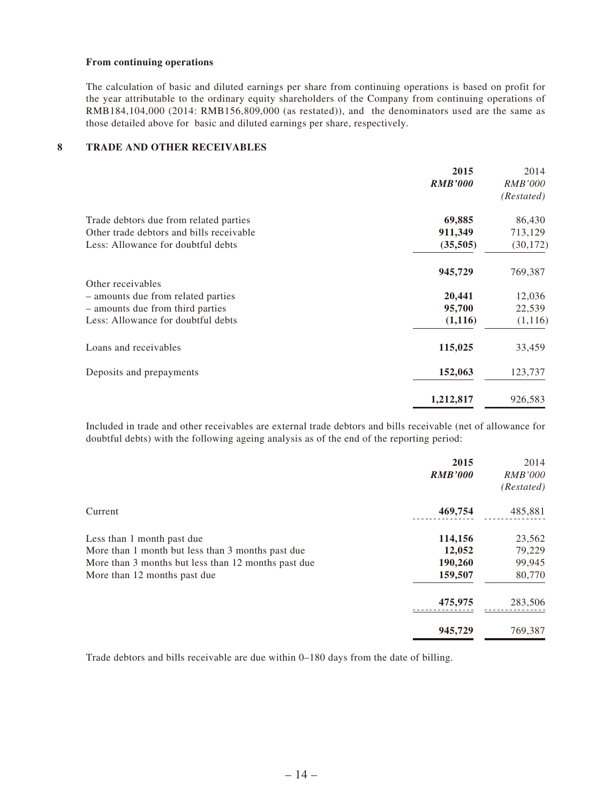#### **From continuing operations**

The calculation of basic and diluted earnings per share from continuing operations is based on profit for the year attributable to the ordinary equity shareholders of the Company from continuing operations of RMB184,104,000 (2014: RMB156,809,000 (as restated)), and the denominators used are the same as those detailed above for basic and diluted earnings per share, respectively.

#### **8 TRADE AND OTHER RECEIVABLES**

|                                          | 2015           | 2014           |
|------------------------------------------|----------------|----------------|
|                                          | <b>RMB'000</b> | <i>RMB'000</i> |
|                                          |                | (Restated)     |
| Trade debtors due from related parties   | 69,885         | 86,430         |
| Other trade debtors and bills receivable | 911,349        | 713,129        |
| Less: Allowance for doubtful debts       | (35,505)       | (30, 172)      |
|                                          | 945,729        | 769,387        |
| Other receivables                        |                |                |
| - amounts due from related parties       | 20,441         | 12,036         |
| - amounts due from third parties         | 95,700         | 22,539         |
| Less: Allowance for doubtful debts       | (1,116)        | (1, 116)       |
| Loans and receivables                    | 115,025        | 33,459         |
| Deposits and prepayments                 | 152,063        | 123,737        |
|                                          | 1,212,817      | 926,583        |
|                                          |                |                |

Included in trade and other receivables are external trade debtors and bills receivable (net of allowance for doubtful debts) with the following ageing analysis as of the end of the reporting period:

|                                                     | 2015<br><b>RMB'000</b> | 2014<br><i>RMB'000</i><br>(Restated) |
|-----------------------------------------------------|------------------------|--------------------------------------|
| Current                                             | 469,754                | 485,881                              |
| Less than 1 month past due                          | 114,156                | 23,562                               |
| More than 1 month but less than 3 months past due   | 12,052                 | 79,229                               |
| More than 3 months but less than 12 months past due | 190,260                | 99,945                               |
| More than 12 months past due                        | 159,507                | 80,770                               |
|                                                     | 475,975                | 283,506                              |
|                                                     | 945,729                | 769,387                              |

Trade debtors and bills receivable are due within 0–180 days from the date of billing.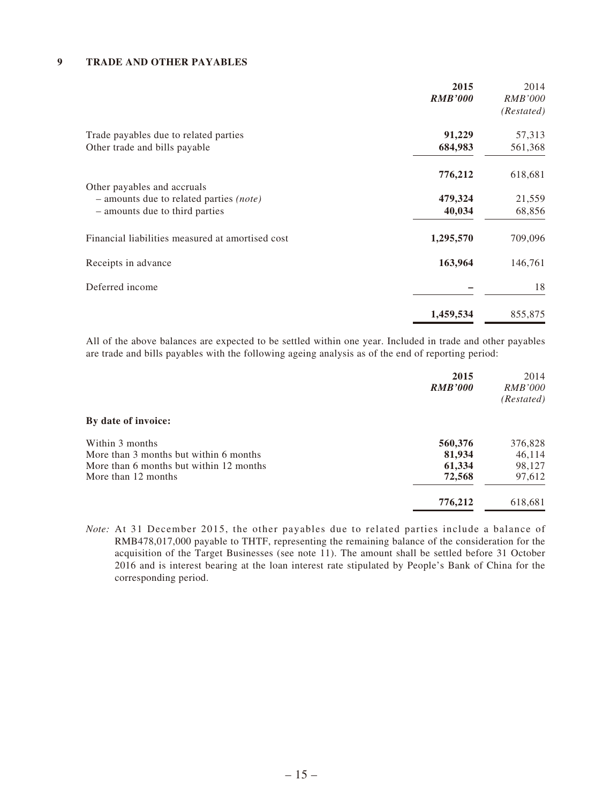#### **9 TRADE AND OTHER PAYABLES**

|                                                                               | 2015<br><b>RMB'000</b> | 2014<br><b>RMB'000</b><br>(Restated) |
|-------------------------------------------------------------------------------|------------------------|--------------------------------------|
| Trade payables due to related parties                                         | 91,229                 | 57,313                               |
| Other trade and bills payable                                                 | 684,983                | 561,368                              |
|                                                                               | 776,212                | 618,681                              |
| Other payables and accruals<br>- amounts due to related parties <i>(note)</i> | 479,324                | 21,559                               |
| - amounts due to third parties                                                | 40,034                 | 68,856                               |
| Financial liabilities measured at amortised cost                              | 1,295,570              | 709,096                              |
| Receipts in advance                                                           | 163,964                | 146,761                              |
| Deferred income                                                               |                        | 18                                   |
|                                                                               | 1,459,534              | 855,875                              |

All of the above balances are expected to be settled within one year. Included in trade and other payables are trade and bills payables with the following ageing analysis as of the end of reporting period:

| 2015<br><b>RMB'000</b>                            | 2014<br><i>RMB'000</i><br>(Restated) |
|---------------------------------------------------|--------------------------------------|
| By date of invoice:                               |                                      |
| Within 3 months<br>560,376                        | 376,828                              |
| 81,934<br>More than 3 months but within 6 months  | 46,114                               |
| More than 6 months but within 12 months<br>61,334 | 98,127                               |
| 72,568<br>More than 12 months                     | 97,612                               |
| 776,212                                           | 618,681                              |

*Note:* At 31 December 2015, the other payables due to related parties include a balance of RMB478,017,000 payable to THTF, representing the remaining balance of the consideration for the acquisition of the Target Businesses (see note 11). The amount shall be settled before 31 October 2016 and is interest bearing at the loan interest rate stipulated by People's Bank of China for the corresponding period.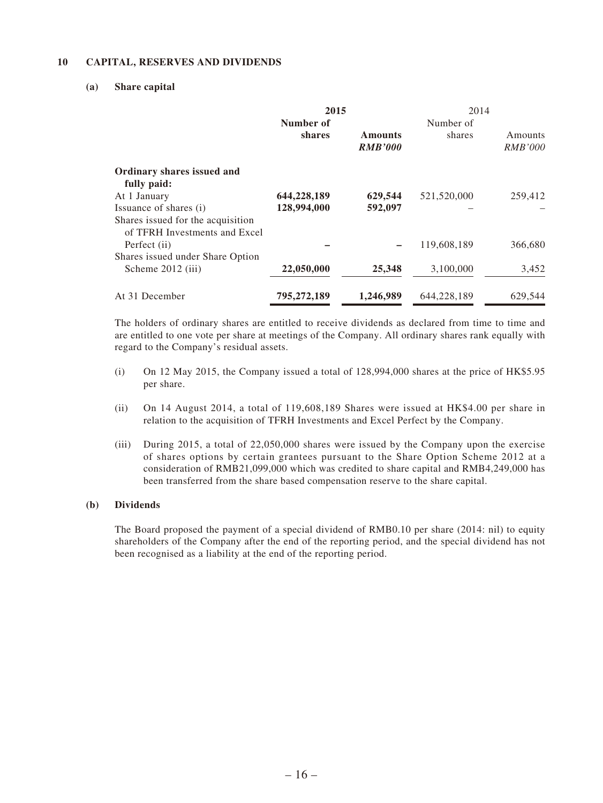#### **10 CAPITAL, RESERVES AND DIVIDENDS**

#### **(a) Share capital**

|                                                                    | 2015        |                                  | 2014        |                           |
|--------------------------------------------------------------------|-------------|----------------------------------|-------------|---------------------------|
|                                                                    | Number of   |                                  | Number of   |                           |
|                                                                    | shares      | <b>Amounts</b><br><b>RMB'000</b> | shares      | Amounts<br><i>RMB'000</i> |
| Ordinary shares issued and<br>fully paid:                          |             |                                  |             |                           |
| At 1 January                                                       | 644,228,189 | 629,544                          | 521,520,000 | 259,412                   |
| Issuance of shares (i)                                             | 128,994,000 | 592,097                          |             |                           |
| Shares issued for the acquisition<br>of TFRH Investments and Excel |             |                                  |             |                           |
| Perfect (ii)                                                       |             |                                  | 119,608,189 | 366,680                   |
| Shares issued under Share Option                                   |             |                                  |             |                           |
| Scheme 2012 (iii)                                                  | 22,050,000  | 25,348                           | 3,100,000   | 3,452                     |
| At 31 December                                                     | 795,272,189 | 1,246,989                        | 644,228,189 | 629,544                   |

The holders of ordinary shares are entitled to receive dividends as declared from time to time and are entitled to one vote per share at meetings of the Company. All ordinary shares rank equally with regard to the Company's residual assets.

- (i) On 12 May 2015, the Company issued a total of 128,994,000 shares at the price of HK\$5.95 per share.
- (ii) On 14 August 2014, a total of 119,608,189 Shares were issued at HK\$4.00 per share in relation to the acquisition of TFRH Investments and Excel Perfect by the Company.
- (iii) During 2015, a total of 22,050,000 shares were issued by the Company upon the exercise of shares options by certain grantees pursuant to the Share Option Scheme 2012 at a consideration of RMB21,099,000 which was credited to share capital and RMB4,249,000 has been transferred from the share based compensation reserve to the share capital.

#### **(b) Dividends**

The Board proposed the payment of a special dividend of RMB0.10 per share (2014: nil) to equity shareholders of the Company after the end of the reporting period, and the special dividend has not been recognised as a liability at the end of the reporting period.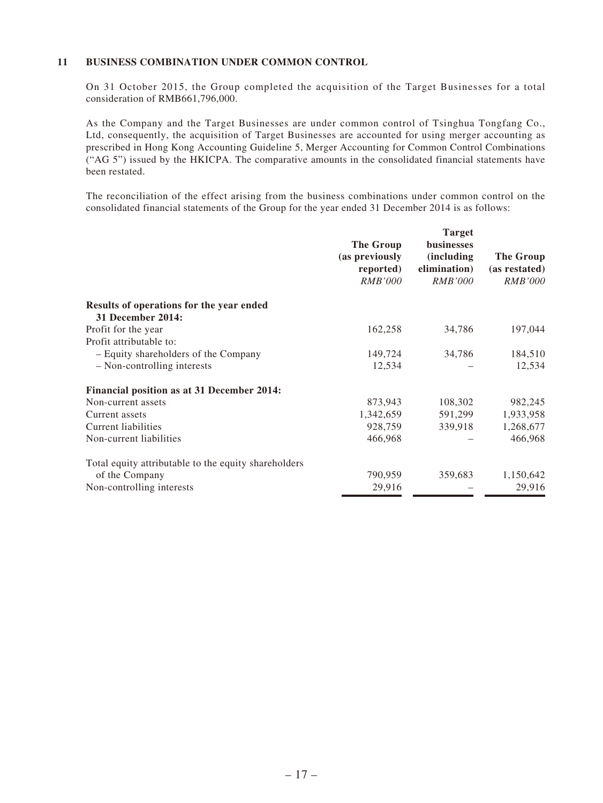#### **11 BUSINESS COMBINATION UNDER COMMON CONTROL**

On 31 October 2015, the Group completed the acquisition of the Target Businesses for a total consideration of RMB661,796,000.

As the Company and the Target Businesses are under common control of Tsinghua Tongfang Co., Ltd, consequently, the acquisition of Target Businesses are accounted for using merger accounting as prescribed in Hong Kong Accounting Guideline 5, Merger Accounting for Common Control Combinations ("AG 5") issued by the HKICPA. The comparative amounts in the consolidated financial statements have been restated.

The reconciliation of the effect arising from the business combinations under common control on the consolidated financial statements of the Group for the year ended 31 December 2014 is as follows:

|                                                                      | The Group<br>(as previously<br>reported)<br><i>RMB'000</i> | <b>Target</b><br>businesses<br><i>(including)</i><br>elimination)<br><i>RMB'000</i> | The Group<br>(as restated)<br><i>RMB'000</i> |
|----------------------------------------------------------------------|------------------------------------------------------------|-------------------------------------------------------------------------------------|----------------------------------------------|
| Results of operations for the year ended<br><b>31 December 2014:</b> |                                                            |                                                                                     |                                              |
| Profit for the year                                                  | 162,258                                                    | 34,786                                                                              | 197,044                                      |
| Profit attributable to:                                              |                                                            |                                                                                     |                                              |
| - Equity shareholders of the Company                                 | 149,724                                                    | 34,786                                                                              | 184,510                                      |
| - Non-controlling interests                                          | 12,534                                                     |                                                                                     | 12,534                                       |
| Financial position as at 31 December 2014:                           |                                                            |                                                                                     |                                              |
| Non-current assets                                                   | 873,943                                                    | 108,302                                                                             | 982,245                                      |
| Current assets                                                       | 1,342,659                                                  | 591,299                                                                             | 1,933,958                                    |
| Current liabilities                                                  | 928,759                                                    | 339,918                                                                             | 1,268,677                                    |
| Non-current liabilities                                              | 466,968                                                    |                                                                                     | 466,968                                      |
| Total equity attributable to the equity shareholders                 |                                                            |                                                                                     |                                              |
| of the Company                                                       | 790,959                                                    | 359,683                                                                             | 1,150,642                                    |
| Non-controlling interests                                            | 29,916                                                     |                                                                                     | 29,916                                       |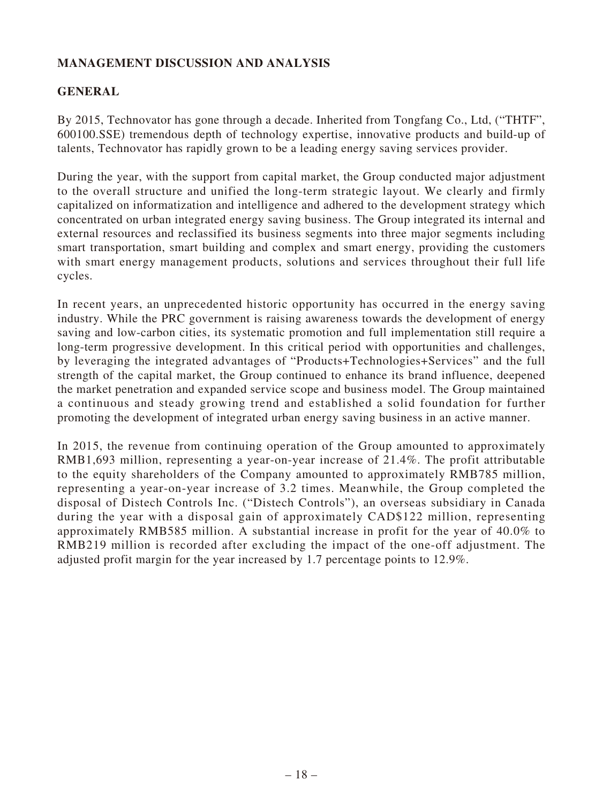# **MANAGEMENT DISCUSSION AND ANALYSIS**

# **GENERAL**

By 2015, Technovator has gone through a decade. Inherited from Tongfang Co., Ltd, ("THTF", 600100.SSE) tremendous depth of technology expertise, innovative products and build-up of talents, Technovator has rapidly grown to be a leading energy saving services provider.

During the year, with the support from capital market, the Group conducted major adjustment to the overall structure and unified the long-term strategic layout. We clearly and firmly capitalized on informatization and intelligence and adhered to the development strategy which concentrated on urban integrated energy saving business. The Group integrated its internal and external resources and reclassified its business segments into three major segments including smart transportation, smart building and complex and smart energy, providing the customers with smart energy management products, solutions and services throughout their full life cycles.

In recent years, an unprecedented historic opportunity has occurred in the energy saving industry. While the PRC government is raising awareness towards the development of energy saving and low-carbon cities, its systematic promotion and full implementation still require a long-term progressive development. In this critical period with opportunities and challenges, by leveraging the integrated advantages of "Products+Technologies+Services" and the full strength of the capital market, the Group continued to enhance its brand influence, deepened the market penetration and expanded service scope and business model. The Group maintained a continuous and steady growing trend and established a solid foundation for further promoting the development of integrated urban energy saving business in an active manner.

In 2015, the revenue from continuing operation of the Group amounted to approximately RMB1,693 million, representing a year-on-year increase of 21.4%. The profit attributable to the equity shareholders of the Company amounted to approximately RMB785 million, representing a year-on-year increase of 3.2 times. Meanwhile, the Group completed the disposal of Distech Controls Inc. ("Distech Controls"), an overseas subsidiary in Canada during the year with a disposal gain of approximately CAD\$122 million, representing approximately RMB585 million. A substantial increase in profit for the year of 40.0% to RMB219 million is recorded after excluding the impact of the one-off adjustment. The adjusted profit margin for the year increased by 1.7 percentage points to 12.9%.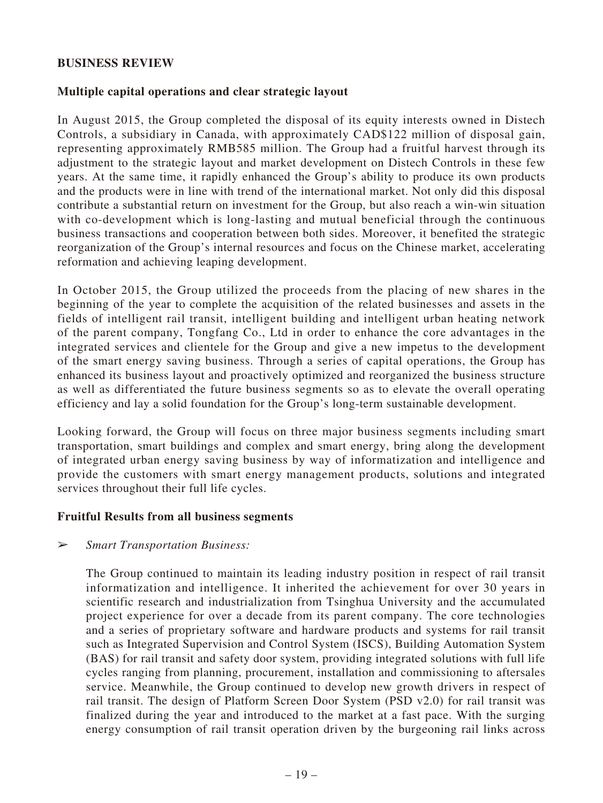### **BUSINESS REVIEW**

## **Multiple capital operations and clear strategic layout**

In August 2015, the Group completed the disposal of its equity interests owned in Distech Controls, a subsidiary in Canada, with approximately CAD\$122 million of disposal gain, representing approximately RMB585 million. The Group had a fruitful harvest through its adjustment to the strategic layout and market development on Distech Controls in these few years. At the same time, it rapidly enhanced the Group's ability to produce its own products and the products were in line with trend of the international market. Not only did this disposal contribute a substantial return on investment for the Group, but also reach a win-win situation with co-development which is long-lasting and mutual beneficial through the continuous business transactions and cooperation between both sides. Moreover, it benefited the strategic reorganization of the Group's internal resources and focus on the Chinese market, accelerating reformation and achieving leaping development.

In October 2015, the Group utilized the proceeds from the placing of new shares in the beginning of the year to complete the acquisition of the related businesses and assets in the fields of intelligent rail transit, intelligent building and intelligent urban heating network of the parent company, Tongfang Co., Ltd in order to enhance the core advantages in the integrated services and clientele for the Group and give a new impetus to the development of the smart energy saving business. Through a series of capital operations, the Group has enhanced its business layout and proactively optimized and reorganized the business structure as well as differentiated the future business segments so as to elevate the overall operating efficiency and lay a solid foundation for the Group's long-term sustainable development.

Looking forward, the Group will focus on three major business segments including smart transportation, smart buildings and complex and smart energy, bring along the development of integrated urban energy saving business by way of informatization and intelligence and provide the customers with smart energy management products, solutions and integrated services throughout their full life cycles.

### **Fruitful Results from all business segments**

### ➢ *Smart Transportation Business:*

The Group continued to maintain its leading industry position in respect of rail transit informatization and intelligence. It inherited the achievement for over 30 years in scientific research and industrialization from Tsinghua University and the accumulated project experience for over a decade from its parent company. The core technologies and a series of proprietary software and hardware products and systems for rail transit such as Integrated Supervision and Control System (ISCS), Building Automation System (BAS) for rail transit and safety door system, providing integrated solutions with full life cycles ranging from planning, procurement, installation and commissioning to aftersales service. Meanwhile, the Group continued to develop new growth drivers in respect of rail transit. The design of Platform Screen Door System (PSD v2.0) for rail transit was finalized during the year and introduced to the market at a fast pace. With the surging energy consumption of rail transit operation driven by the burgeoning rail links across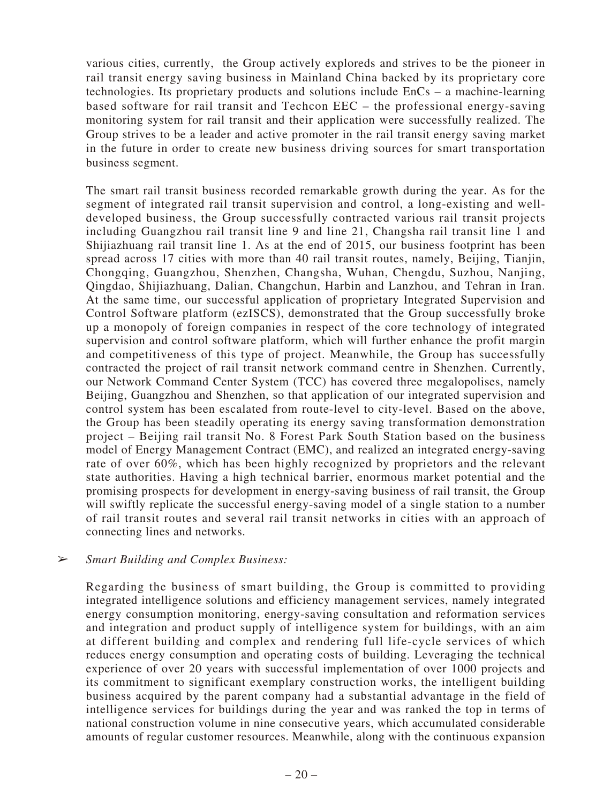various cities, currently, the Group actively exploreds and strives to be the pioneer in rail transit energy saving business in Mainland China backed by its proprietary core technologies. Its proprietary products and solutions include EnCs – a machine-learning based software for rail transit and Techcon EEC – the professional energy-saving monitoring system for rail transit and their application were successfully realized. The Group strives to be a leader and active promoter in the rail transit energy saving market in the future in order to create new business driving sources for smart transportation business segment.

The smart rail transit business recorded remarkable growth during the year. As for the segment of integrated rail transit supervision and control, a long-existing and welldeveloped business, the Group successfully contracted various rail transit projects including Guangzhou rail transit line 9 and line 21, Changsha rail transit line 1 and Shijiazhuang rail transit line 1. As at the end of 2015, our business footprint has been spread across 17 cities with more than 40 rail transit routes, namely, Beijing, Tianjin, Chongqing, Guangzhou, Shenzhen, Changsha, Wuhan, Chengdu, Suzhou, Nanjing, Qingdao, Shijiazhuang, Dalian, Changchun, Harbin and Lanzhou, and Tehran in Iran. At the same time, our successful application of proprietary Integrated Supervision and Control Software platform (ezISCS), demonstrated that the Group successfully broke up a monopoly of foreign companies in respect of the core technology of integrated supervision and control software platform, which will further enhance the profit margin and competitiveness of this type of project. Meanwhile, the Group has successfully contracted the project of rail transit network command centre in Shenzhen. Currently, our Network Command Center System (TCC) has covered three megalopolises, namely Beijing, Guangzhou and Shenzhen, so that application of our integrated supervision and control system has been escalated from route-level to city-level. Based on the above, the Group has been steadily operating its energy saving transformation demonstration project – Beijing rail transit No. 8 Forest Park South Station based on the business model of Energy Management Contract (EMC), and realized an integrated energy-saving rate of over 60%, which has been highly recognized by proprietors and the relevant state authorities. Having a high technical barrier, enormous market potential and the promising prospects for development in energy-saving business of rail transit, the Group will swiftly replicate the successful energy-saving model of a single station to a number of rail transit routes and several rail transit networks in cities with an approach of connecting lines and networks.

### ➢ *Smart Building and Complex Business:*

Regarding the business of smart building, the Group is committed to providing integrated intelligence solutions and efficiency management services, namely integrated energy consumption monitoring, energy-saving consultation and reformation services and integration and product supply of intelligence system for buildings, with an aim at different building and complex and rendering full life-cycle services of which reduces energy consumption and operating costs of building. Leveraging the technical experience of over 20 years with successful implementation of over 1000 projects and its commitment to significant exemplary construction works, the intelligent building business acquired by the parent company had a substantial advantage in the field of intelligence services for buildings during the year and was ranked the top in terms of national construction volume in nine consecutive years, which accumulated considerable amounts of regular customer resources. Meanwhile, along with the continuous expansion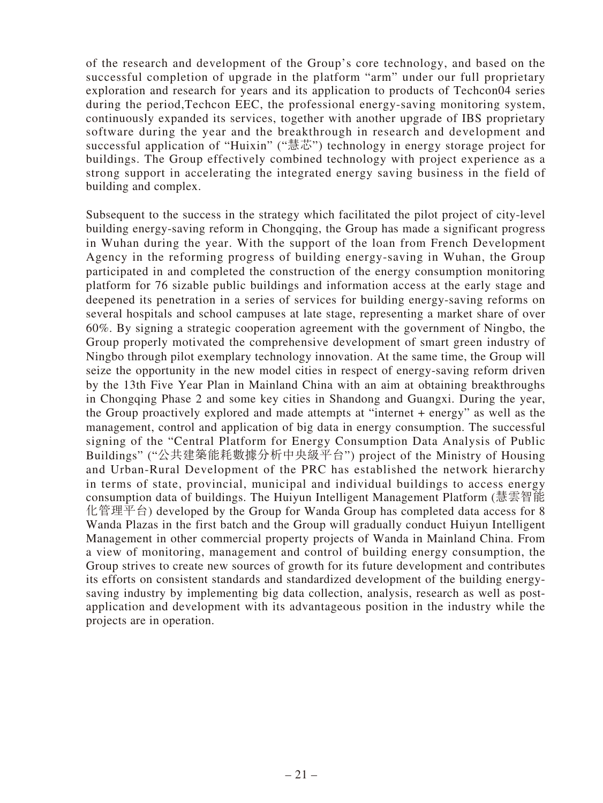of the research and development of the Group's core technology, and based on the successful completion of upgrade in the platform "arm" under our full proprietary exploration and research for years and its application to products of Techcon04 series during the period,Techcon EEC, the professional energy-saving monitoring system, continuously expanded its services, together with another upgrade of IBS proprietary software during the year and the breakthrough in research and development and successful application of "Huixin" ("慧芯") technology in energy storage project for buildings. The Group effectively combined technology with project experience as a strong support in accelerating the integrated energy saving business in the field of building and complex.

Subsequent to the success in the strategy which facilitated the pilot project of city-level building energy-saving reform in Chongqing, the Group has made a significant progress in Wuhan during the year. With the support of the loan from French Development Agency in the reforming progress of building energy-saving in Wuhan, the Group participated in and completed the construction of the energy consumption monitoring platform for 76 sizable public buildings and information access at the early stage and deepened its penetration in a series of services for building energy-saving reforms on several hospitals and school campuses at late stage, representing a market share of over 60%. By signing a strategic cooperation agreement with the government of Ningbo, the Group properly motivated the comprehensive development of smart green industry of Ningbo through pilot exemplary technology innovation. At the same time, the Group will seize the opportunity in the new model cities in respect of energy-saving reform driven by the 13th Five Year Plan in Mainland China with an aim at obtaining breakthroughs in Chongqing Phase 2 and some key cities in Shandong and Guangxi. During the year, the Group proactively explored and made attempts at "internet + energy" as well as the management, control and application of big data in energy consumption. The successful signing of the "Central Platform for Energy Consumption Data Analysis of Public Buildings" ("公共建築能耗數據分析中央級平台") project of the Ministry of Housing and Urban-Rural Development of the PRC has established the network hierarchy in terms of state, provincial, municipal and individual buildings to access energy consumption data of buildings. The Huiyun Intelligent Management Platform (慧雲智能 化管理平台) developed by the Group for Wanda Group has completed data access for 8 Wanda Plazas in the first batch and the Group will gradually conduct Huiyun Intelligent Management in other commercial property projects of Wanda in Mainland China. From a view of monitoring, management and control of building energy consumption, the Group strives to create new sources of growth for its future development and contributes its efforts on consistent standards and standardized development of the building energysaving industry by implementing big data collection, analysis, research as well as postapplication and development with its advantageous position in the industry while the projects are in operation.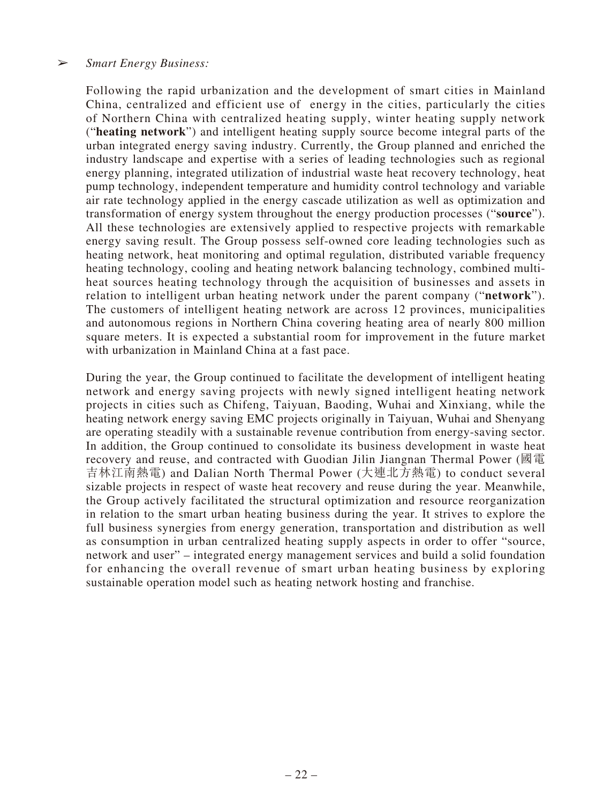### ➢ *Smart Energy Business:*

Following the rapid urbanization and the development of smart cities in Mainland China, centralized and efficient use of energy in the cities, particularly the cities of Northern China with centralized heating supply, winter heating supply network ("**heating network**") and intelligent heating supply source become integral parts of the urban integrated energy saving industry. Currently, the Group planned and enriched the industry landscape and expertise with a series of leading technologies such as regional energy planning, integrated utilization of industrial waste heat recovery technology, heat pump technology, independent temperature and humidity control technology and variable air rate technology applied in the energy cascade utilization as well as optimization and transformation of energy system throughout the energy production processes ("**source**"). All these technologies are extensively applied to respective projects with remarkable energy saving result. The Group possess self-owned core leading technologies such as heating network, heat monitoring and optimal regulation, distributed variable frequency heating technology, cooling and heating network balancing technology, combined multiheat sources heating technology through the acquisition of businesses and assets in relation to intelligent urban heating network under the parent company ("**network**"). The customers of intelligent heating network are across 12 provinces, municipalities and autonomous regions in Northern China covering heating area of nearly 800 million square meters. It is expected a substantial room for improvement in the future market with urbanization in Mainland China at a fast pace.

During the year, the Group continued to facilitate the development of intelligent heating network and energy saving projects with newly signed intelligent heating network projects in cities such as Chifeng, Taiyuan, Baoding, Wuhai and Xinxiang, while the heating network energy saving EMC projects originally in Taiyuan, Wuhai and Shenyang are operating steadily with a sustainable revenue contribution from energy-saving sector. In addition, the Group continued to consolidate its business development in waste heat recovery and reuse, and contracted with Guodian Jilin Jiangnan Thermal Power (國電 吉林江南熱電) and Dalian North Thermal Power (大連北方熱電) to conduct several sizable projects in respect of waste heat recovery and reuse during the year. Meanwhile, the Group actively facilitated the structural optimization and resource reorganization in relation to the smart urban heating business during the year. It strives to explore the full business synergies from energy generation, transportation and distribution as well as consumption in urban centralized heating supply aspects in order to offer "source, network and user" – integrated energy management services and build a solid foundation for enhancing the overall revenue of smart urban heating business by exploring sustainable operation model such as heating network hosting and franchise.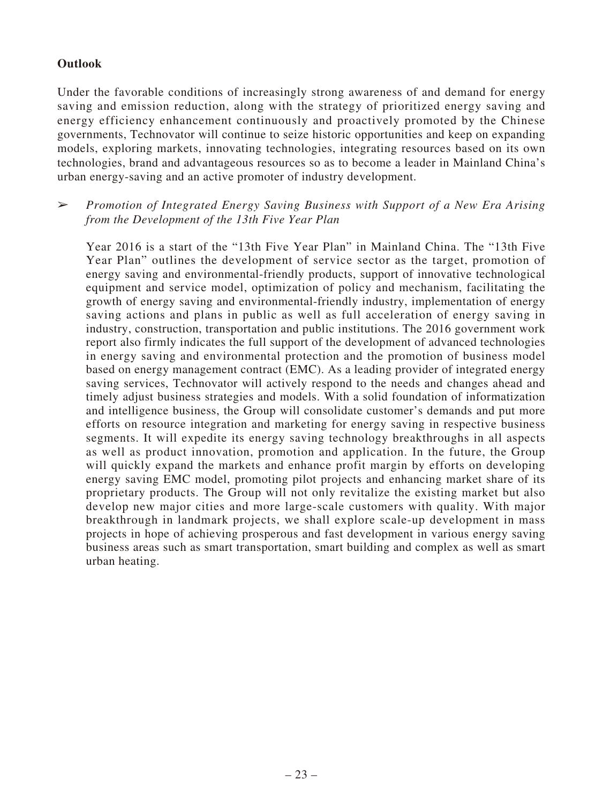# **Outlook**

Under the favorable conditions of increasingly strong awareness of and demand for energy saving and emission reduction, along with the strategy of prioritized energy saving and energy efficiency enhancement continuously and proactively promoted by the Chinese governments, Technovator will continue to seize historic opportunities and keep on expanding models, exploring markets, innovating technologies, integrating resources based on its own technologies, brand and advantageous resources so as to become a leader in Mainland China's urban energy-saving and an active promoter of industry development.

➢ *Promotion of Integrated Energy Saving Business with Support of a New Era Arising from the Development of the 13th Five Year Plan*

Year 2016 is a start of the "13th Five Year Plan" in Mainland China. The "13th Five Year Plan" outlines the development of service sector as the target, promotion of energy saving and environmental-friendly products, support of innovative technological equipment and service model, optimization of policy and mechanism, facilitating the growth of energy saving and environmental-friendly industry, implementation of energy saving actions and plans in public as well as full acceleration of energy saving in industry, construction, transportation and public institutions. The 2016 government work report also firmly indicates the full support of the development of advanced technologies in energy saving and environmental protection and the promotion of business model based on energy management contract (EMC). As a leading provider of integrated energy saving services, Technovator will actively respond to the needs and changes ahead and timely adjust business strategies and models. With a solid foundation of informatization and intelligence business, the Group will consolidate customer's demands and put more efforts on resource integration and marketing for energy saving in respective business segments. It will expedite its energy saving technology breakthroughs in all aspects as well as product innovation, promotion and application. In the future, the Group will quickly expand the markets and enhance profit margin by efforts on developing energy saving EMC model, promoting pilot projects and enhancing market share of its proprietary products. The Group will not only revitalize the existing market but also develop new major cities and more large-scale customers with quality. With major breakthrough in landmark projects, we shall explore scale-up development in mass projects in hope of achieving prosperous and fast development in various energy saving business areas such as smart transportation, smart building and complex as well as smart urban heating.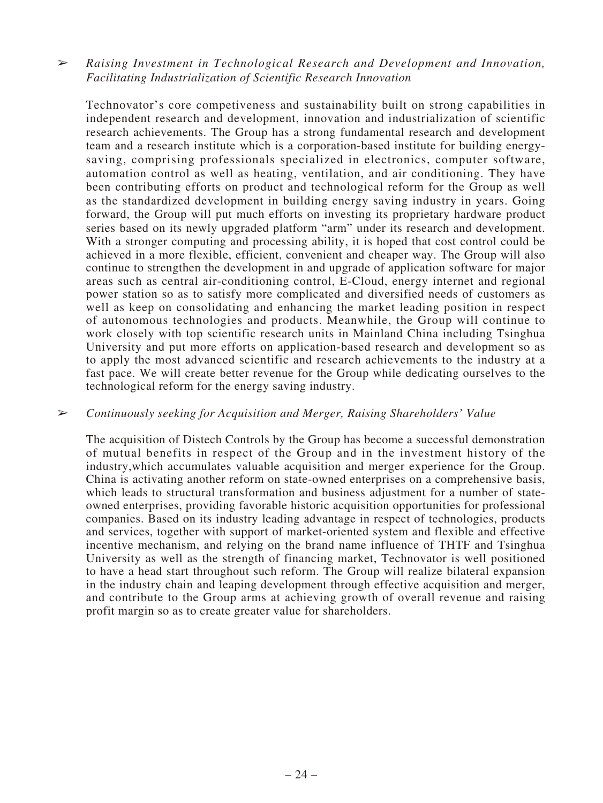# ➢ *Raising Investment in Technological Research and Development and Innovation, Facilitating Industrialization of Scientific Research Innovation*

Technovator's core competiveness and sustainability built on strong capabilities in independent research and development, innovation and industrialization of scientific research achievements. The Group has a strong fundamental research and development team and a research institute which is a corporation-based institute for building energysaving, comprising professionals specialized in electronics, computer software, automation control as well as heating, ventilation, and air conditioning. They have been contributing efforts on product and technological reform for the Group as well as the standardized development in building energy saving industry in years. Going forward, the Group will put much efforts on investing its proprietary hardware product series based on its newly upgraded platform "arm" under its research and development. With a stronger computing and processing ability, it is hoped that cost control could be achieved in a more flexible, efficient, convenient and cheaper way. The Group will also continue to strengthen the development in and upgrade of application software for major areas such as central air-conditioning control, E-Cloud, energy internet and regional power station so as to satisfy more complicated and diversified needs of customers as well as keep on consolidating and enhancing the market leading position in respect of autonomous technologies and products. Meanwhile, the Group will continue to work closely with top scientific research units in Mainland China including Tsinghua University and put more efforts on application-based research and development so as to apply the most advanced scientific and research achievements to the industry at a fast pace. We will create better revenue for the Group while dedicating ourselves to the technological reform for the energy saving industry.

### ➢ *Continuously seeking for Acquisition and Merger, Raising Shareholders' Value*

The acquisition of Distech Controls by the Group has become a successful demonstration of mutual benefits in respect of the Group and in the investment history of the industry,which accumulates valuable acquisition and merger experience for the Group. China is activating another reform on state-owned enterprises on a comprehensive basis, which leads to structural transformation and business adjustment for a number of stateowned enterprises, providing favorable historic acquisition opportunities for professional companies. Based on its industry leading advantage in respect of technologies, products and services, together with support of market-oriented system and flexible and effective incentive mechanism, and relying on the brand name influence of THTF and Tsinghua University as well as the strength of financing market, Technovator is well positioned to have a head start throughout such reform. The Group will realize bilateral expansion in the industry chain and leaping development through effective acquisition and merger, and contribute to the Group arms at achieving growth of overall revenue and raising profit margin so as to create greater value for shareholders.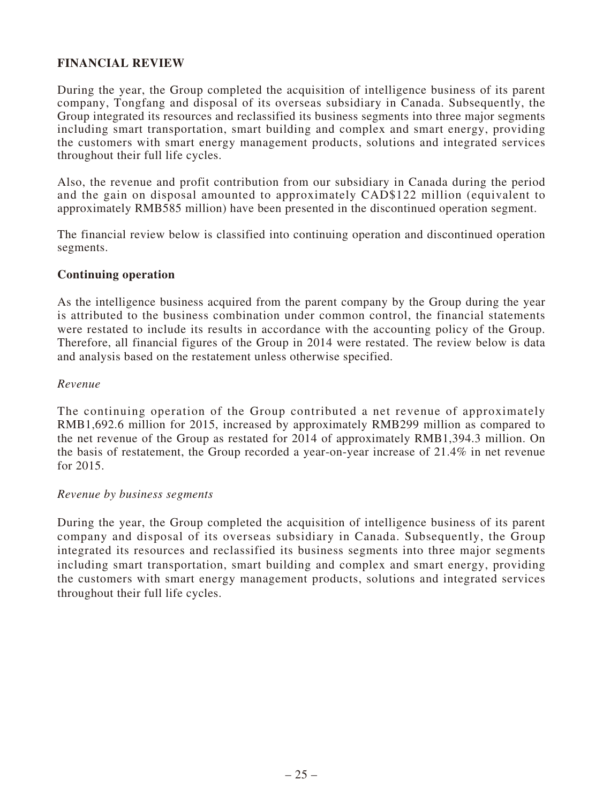# **FINANCIAL REVIEW**

During the year, the Group completed the acquisition of intelligence business of its parent company, Tongfang and disposal of its overseas subsidiary in Canada. Subsequently, the Group integrated its resources and reclassified its business segments into three major segments including smart transportation, smart building and complex and smart energy, providing the customers with smart energy management products, solutions and integrated services throughout their full life cycles.

Also, the revenue and profit contribution from our subsidiary in Canada during the period and the gain on disposal amounted to approximately CAD\$122 million (equivalent to approximately RMB585 million) have been presented in the discontinued operation segment.

The financial review below is classified into continuing operation and discontinued operation segments.

### **Continuing operation**

As the intelligence business acquired from the parent company by the Group during the year is attributed to the business combination under common control, the financial statements were restated to include its results in accordance with the accounting policy of the Group. Therefore, all financial figures of the Group in 2014 were restated. The review below is data and analysis based on the restatement unless otherwise specified.

### *Revenue*

The continuing operation of the Group contributed a net revenue of approximately RMB1,692.6 million for 2015, increased by approximately RMB299 million as compared to the net revenue of the Group as restated for 2014 of approximately RMB1,394.3 million. On the basis of restatement, the Group recorded a year-on-year increase of 21.4% in net revenue for 2015.

### *Revenue by business segments*

During the year, the Group completed the acquisition of intelligence business of its parent company and disposal of its overseas subsidiary in Canada. Subsequently, the Group integrated its resources and reclassified its business segments into three major segments including smart transportation, smart building and complex and smart energy, providing the customers with smart energy management products, solutions and integrated services throughout their full life cycles.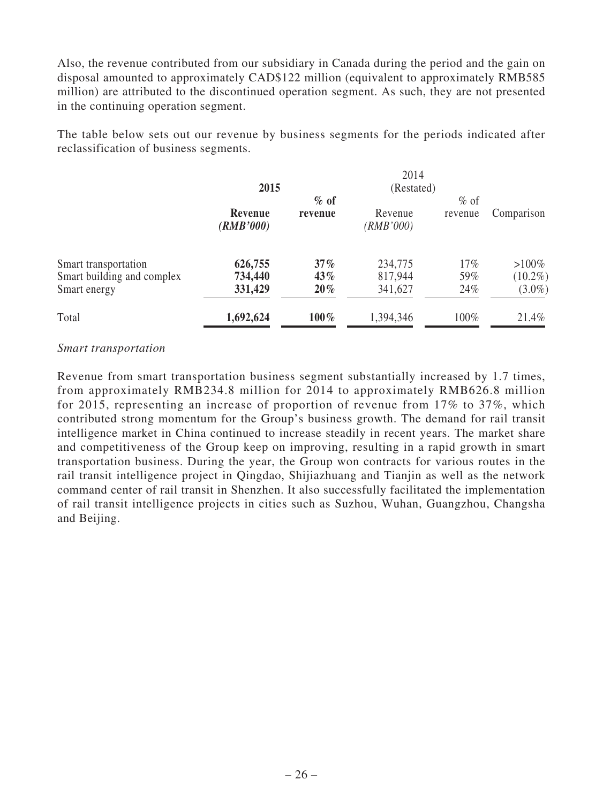Also, the revenue contributed from our subsidiary in Canada during the period and the gain on disposal amounted to approximately CAD\$122 million (equivalent to approximately RMB585 million) are attributed to the discontinued operation segment. As such, they are not presented in the continuing operation segment.

The table below sets out our revenue by business segments for the periods indicated after reclassification of business segments.

| 2015                 |         |                               |         |            |
|----------------------|---------|-------------------------------|---------|------------|
|                      | $%$ of  |                               | $%$ of  |            |
| Revenue<br>(RMB'000) | revenue | Revenue<br>( <i>RMB</i> '000) | revenue | Comparison |
| 626,755              | $37\%$  | 234,775                       | 17%     | $>100\%$   |
| 734,440              | $43\%$  | 817,944                       | 59%     | $(10.2\%)$ |
| 331,429              | $20\%$  | 341,627                       | 24%     | $(3.0\%)$  |
| 1,692,624            | $100\%$ | 1,394,346                     | 100%    | 21.4%      |
|                      |         |                               | 2014    | (Restated) |

### *Smart transportation*

Revenue from smart transportation business segment substantially increased by 1.7 times, from approximately RMB234.8 million for 2014 to approximately RMB626.8 million for 2015, representing an increase of proportion of revenue from 17% to 37%, which contributed strong momentum for the Group's business growth. The demand for rail transit intelligence market in China continued to increase steadily in recent years. The market share and competitiveness of the Group keep on improving, resulting in a rapid growth in smart transportation business. During the year, the Group won contracts for various routes in the rail transit intelligence project in Qingdao, Shijiazhuang and Tianjin as well as the network command center of rail transit in Shenzhen. It also successfully facilitated the implementation of rail transit intelligence projects in cities such as Suzhou, Wuhan, Guangzhou, Changsha and Beijing.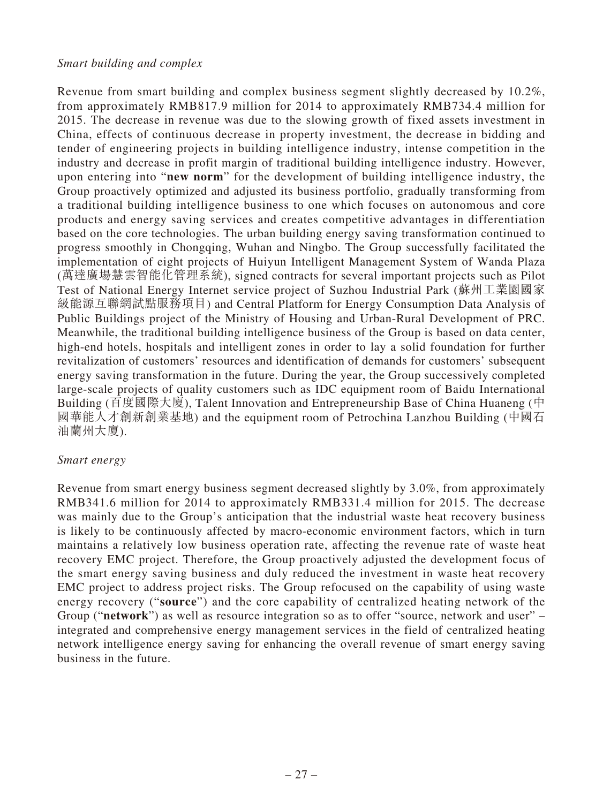### *Smart building and complex*

Revenue from smart building and complex business segment slightly decreased by 10.2%, from approximately RMB817.9 million for 2014 to approximately RMB734.4 million for 2015. The decrease in revenue was due to the slowing growth of fixed assets investment in China, effects of continuous decrease in property investment, the decrease in bidding and tender of engineering projects in building intelligence industry, intense competition in the industry and decrease in profit margin of traditional building intelligence industry. However, upon entering into "**new norm**" for the development of building intelligence industry, the Group proactively optimized and adjusted its business portfolio, gradually transforming from a traditional building intelligence business to one which focuses on autonomous and core products and energy saving services and creates competitive advantages in differentiation based on the core technologies. The urban building energy saving transformation continued to progress smoothly in Chongqing, Wuhan and Ningbo. The Group successfully facilitated the implementation of eight projects of Huiyun Intelligent Management System of Wanda Plaza (萬達廣場慧雲智能化管理系統), signed contracts for several important projects such as Pilot Test of National Energy Internet service project of Suzhou Industrial Park (蘇州工業園國家 級能源互聯網試點服務項目) and Central Platform for Energy Consumption Data Analysis of Public Buildings project of the Ministry of Housing and Urban-Rural Development of PRC. Meanwhile, the traditional building intelligence business of the Group is based on data center, high-end hotels, hospitals and intelligent zones in order to lay a solid foundation for further revitalization of customers' resources and identification of demands for customers' subsequent energy saving transformation in the future. During the year, the Group successively completed large-scale projects of quality customers such as IDC equipment room of Baidu International Building (百度國際大廈), Talent Innovation and Entrepreneurship Base of China Huaneng (中 國華能人才創新創業基地) and the equipment room of Petrochina Lanzhou Building (中國石 油蘭州大廈).

### *Smart energy*

Revenue from smart energy business segment decreased slightly by 3.0%, from approximately RMB341.6 million for 2014 to approximately RMB331.4 million for 2015. The decrease was mainly due to the Group's anticipation that the industrial waste heat recovery business is likely to be continuously affected by macro-economic environment factors, which in turn maintains a relatively low business operation rate, affecting the revenue rate of waste heat recovery EMC project. Therefore, the Group proactively adjusted the development focus of the smart energy saving business and duly reduced the investment in waste heat recovery EMC project to address project risks. The Group refocused on the capability of using waste energy recovery ("**source**") and the core capability of centralized heating network of the Group ("**network**") as well as resource integration so as to offer "source, network and user" – integrated and comprehensive energy management services in the field of centralized heating network intelligence energy saving for enhancing the overall revenue of smart energy saving business in the future.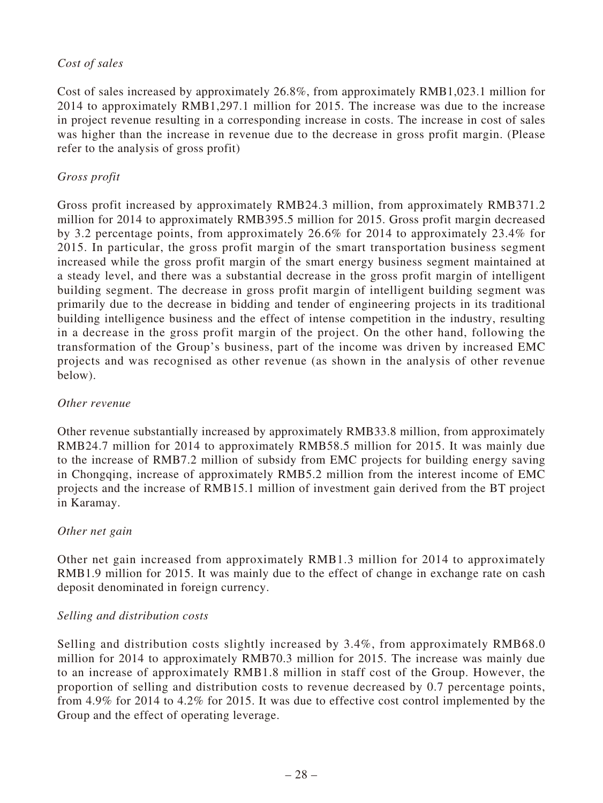# *Cost of sales*

Cost of sales increased by approximately 26.8%, from approximately RMB1,023.1 million for 2014 to approximately RMB1,297.1 million for 2015. The increase was due to the increase in project revenue resulting in a corresponding increase in costs. The increase in cost of sales was higher than the increase in revenue due to the decrease in gross profit margin. (Please refer to the analysis of gross profit)

# *Gross profit*

Gross profit increased by approximately RMB24.3 million, from approximately RMB371.2 million for 2014 to approximately RMB395.5 million for 2015. Gross profit margin decreased by 3.2 percentage points, from approximately 26.6% for 2014 to approximately 23.4% for 2015. In particular, the gross profit margin of the smart transportation business segment increased while the gross profit margin of the smart energy business segment maintained at a steady level, and there was a substantial decrease in the gross profit margin of intelligent building segment. The decrease in gross profit margin of intelligent building segment was primarily due to the decrease in bidding and tender of engineering projects in its traditional building intelligence business and the effect of intense competition in the industry, resulting in a decrease in the gross profit margin of the project. On the other hand, following the transformation of the Group's business, part of the income was driven by increased EMC projects and was recognised as other revenue (as shown in the analysis of other revenue below).

# *Other revenue*

Other revenue substantially increased by approximately RMB33.8 million, from approximately RMB24.7 million for 2014 to approximately RMB58.5 million for 2015. It was mainly due to the increase of RMB7.2 million of subsidy from EMC projects for building energy saving in Chongqing, increase of approximately RMB5.2 million from the interest income of EMC projects and the increase of RMB15.1 million of investment gain derived from the BT project in Karamay.

# *Other net gain*

Other net gain increased from approximately RMB1.3 million for 2014 to approximately RMB1.9 million for 2015. It was mainly due to the effect of change in exchange rate on cash deposit denominated in foreign currency.

# *Selling and distribution costs*

Selling and distribution costs slightly increased by 3.4%, from approximately RMB68.0 million for 2014 to approximately RMB70.3 million for 2015. The increase was mainly due to an increase of approximately RMB1.8 million in staff cost of the Group. However, the proportion of selling and distribution costs to revenue decreased by 0.7 percentage points, from 4.9% for 2014 to 4.2% for 2015. It was due to effective cost control implemented by the Group and the effect of operating leverage.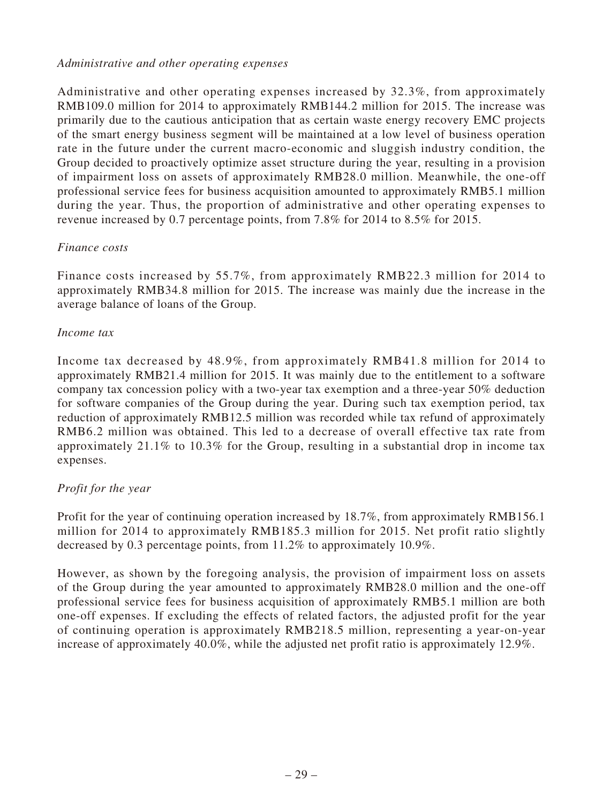### *Administrative and other operating expenses*

Administrative and other operating expenses increased by 32.3%, from approximately RMB109.0 million for 2014 to approximately RMB144.2 million for 2015. The increase was primarily due to the cautious anticipation that as certain waste energy recovery EMC projects of the smart energy business segment will be maintained at a low level of business operation rate in the future under the current macro-economic and sluggish industry condition, the Group decided to proactively optimize asset structure during the year, resulting in a provision of impairment loss on assets of approximately RMB28.0 million. Meanwhile, the one-off professional service fees for business acquisition amounted to approximately RMB5.1 million during the year. Thus, the proportion of administrative and other operating expenses to revenue increased by 0.7 percentage points, from 7.8% for 2014 to 8.5% for 2015.

# *Finance costs*

Finance costs increased by 55.7%, from approximately RMB22.3 million for 2014 to approximately RMB34.8 million for 2015. The increase was mainly due the increase in the average balance of loans of the Group.

### *Income tax*

Income tax decreased by 48.9%, from approximately RMB41.8 million for 2014 to approximately RMB21.4 million for 2015. It was mainly due to the entitlement to a software company tax concession policy with a two-year tax exemption and a three-year 50% deduction for software companies of the Group during the year. During such tax exemption period, tax reduction of approximately RMB12.5 million was recorded while tax refund of approximately RMB6.2 million was obtained. This led to a decrease of overall effective tax rate from approximately 21.1% to 10.3% for the Group, resulting in a substantial drop in income tax expenses.

# *Profit for the year*

Profit for the year of continuing operation increased by 18.7%, from approximately RMB156.1 million for 2014 to approximately RMB185.3 million for 2015. Net profit ratio slightly decreased by 0.3 percentage points, from 11.2% to approximately 10.9%.

However, as shown by the foregoing analysis, the provision of impairment loss on assets of the Group during the year amounted to approximately RMB28.0 million and the one-off professional service fees for business acquisition of approximately RMB5.1 million are both one-off expenses. If excluding the effects of related factors, the adjusted profit for the year of continuing operation is approximately RMB218.5 million, representing a year-on-year increase of approximately 40.0%, while the adjusted net profit ratio is approximately 12.9%.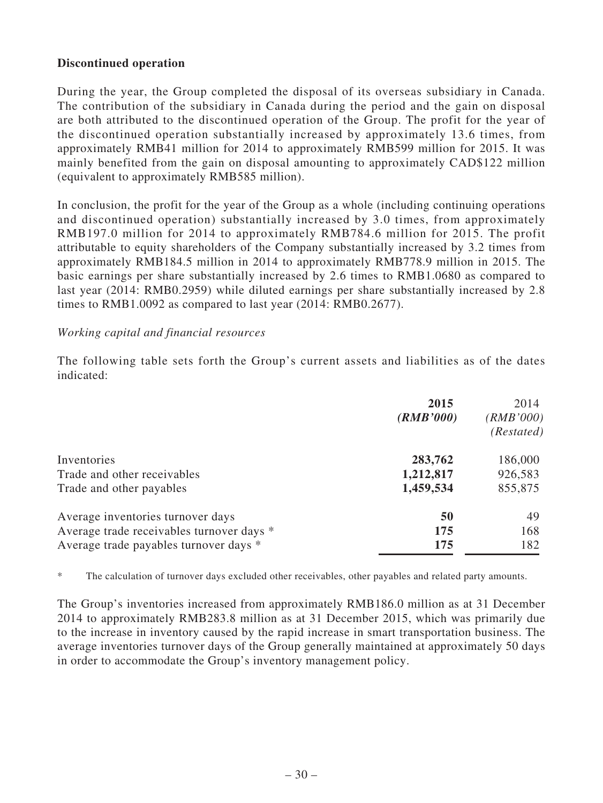# **Discontinued operation**

During the year, the Group completed the disposal of its overseas subsidiary in Canada. The contribution of the subsidiary in Canada during the period and the gain on disposal are both attributed to the discontinued operation of the Group. The profit for the year of the discontinued operation substantially increased by approximately 13.6 times, from approximately RMB41 million for 2014 to approximately RMB599 million for 2015. It was mainly benefited from the gain on disposal amounting to approximately CAD\$122 million (equivalent to approximately RMB585 million).

In conclusion, the profit for the year of the Group as a whole (including continuing operations and discontinued operation) substantially increased by 3.0 times, from approximately RMB197.0 million for 2014 to approximately RMB784.6 million for 2015. The profit attributable to equity shareholders of the Company substantially increased by 3.2 times from approximately RMB184.5 million in 2014 to approximately RMB778.9 million in 2015. The basic earnings per share substantially increased by 2.6 times to RMB1.0680 as compared to last year (2014: RMB0.2959) while diluted earnings per share substantially increased by 2.8 times to RMB1.0092 as compared to last year (2014: RMB0.2677).

### *Working capital and financial resources*

The following table sets forth the Group's current assets and liabilities as of the dates indicated:

|                                           | 2015<br>(RMB'000) | 2014<br>(RMB'000)<br>(Restated) |
|-------------------------------------------|-------------------|---------------------------------|
| Inventories                               | 283,762           | 186,000                         |
| Trade and other receivables               | 1,212,817         | 926,583                         |
| Trade and other payables                  | 1,459,534         | 855,875                         |
| Average inventories turnover days         | 50                | 49                              |
| Average trade receivables turnover days * | 175               | 168                             |
| Average trade payables turnover days *    | 175               | 182                             |

\* The calculation of turnover days excluded other receivables, other payables and related party amounts.

The Group's inventories increased from approximately RMB186.0 million as at 31 December 2014 to approximately RMB283.8 million as at 31 December 2015, which was primarily due to the increase in inventory caused by the rapid increase in smart transportation business. The average inventories turnover days of the Group generally maintained at approximately 50 days in order to accommodate the Group's inventory management policy.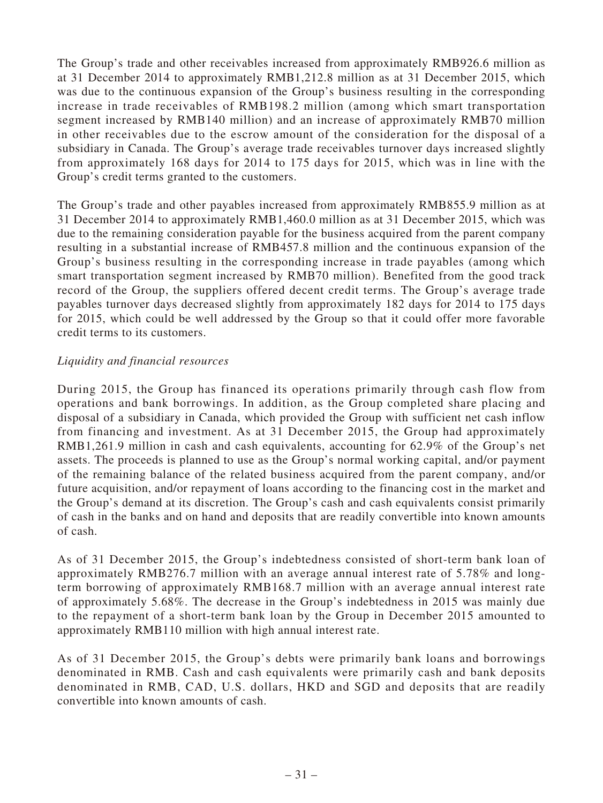The Group's trade and other receivables increased from approximately RMB926.6 million as at 31 December 2014 to approximately RMB1,212.8 million as at 31 December 2015, which was due to the continuous expansion of the Group's business resulting in the corresponding increase in trade receivables of RMB198.2 million (among which smart transportation segment increased by RMB140 million) and an increase of approximately RMB70 million in other receivables due to the escrow amount of the consideration for the disposal of a subsidiary in Canada. The Group's average trade receivables turnover days increased slightly from approximately 168 days for 2014 to 175 days for 2015, which was in line with the Group's credit terms granted to the customers.

The Group's trade and other payables increased from approximately RMB855.9 million as at 31 December 2014 to approximately RMB1,460.0 million as at 31 December 2015, which was due to the remaining consideration payable for the business acquired from the parent company resulting in a substantial increase of RMB457.8 million and the continuous expansion of the Group's business resulting in the corresponding increase in trade payables (among which smart transportation segment increased by RMB70 million). Benefited from the good track record of the Group, the suppliers offered decent credit terms. The Group's average trade payables turnover days decreased slightly from approximately 182 days for 2014 to 175 days for 2015, which could be well addressed by the Group so that it could offer more favorable credit terms to its customers.

# *Liquidity and financial resources*

During 2015, the Group has financed its operations primarily through cash flow from operations and bank borrowings. In addition, as the Group completed share placing and disposal of a subsidiary in Canada, which provided the Group with sufficient net cash inflow from financing and investment. As at 31 December 2015, the Group had approximately RMB1,261.9 million in cash and cash equivalents, accounting for 62.9% of the Group's net assets. The proceeds is planned to use as the Group's normal working capital, and/or payment of the remaining balance of the related business acquired from the parent company, and/or future acquisition, and/or repayment of loans according to the financing cost in the market and the Group's demand at its discretion. The Group's cash and cash equivalents consist primarily of cash in the banks and on hand and deposits that are readily convertible into known amounts of cash.

As of 31 December 2015, the Group's indebtedness consisted of short-term bank loan of approximately RMB276.7 million with an average annual interest rate of 5.78% and longterm borrowing of approximately RMB168.7 million with an average annual interest rate of approximately 5.68%. The decrease in the Group's indebtedness in 2015 was mainly due to the repayment of a short-term bank loan by the Group in December 2015 amounted to approximately RMB110 million with high annual interest rate.

As of 31 December 2015, the Group's debts were primarily bank loans and borrowings denominated in RMB. Cash and cash equivalents were primarily cash and bank deposits denominated in RMB, CAD, U.S. dollars, HKD and SGD and deposits that are readily convertible into known amounts of cash.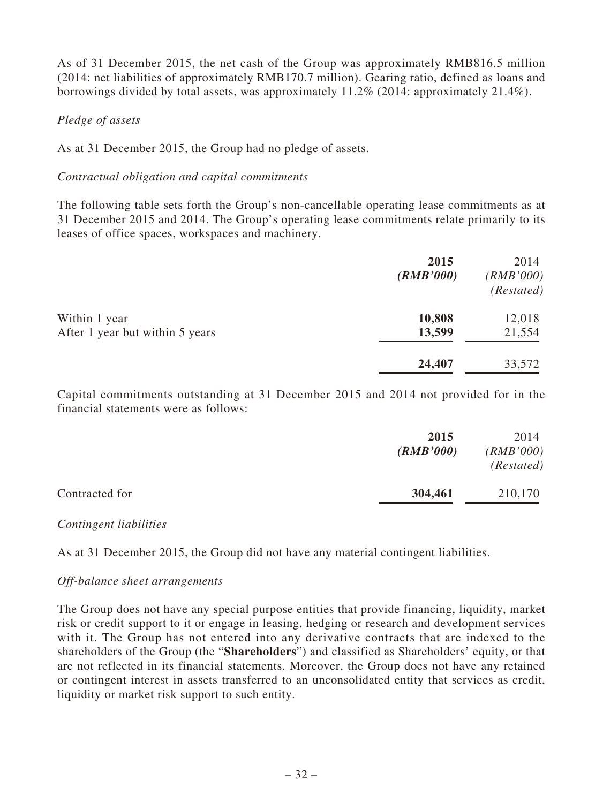As of 31 December 2015, the net cash of the Group was approximately RMB816.5 million (2014: net liabilities of approximately RMB170.7 million). Gearing ratio, defined as loans and borrowings divided by total assets, was approximately 11.2% (2014: approximately 21.4%).

## *Pledge of assets*

As at 31 December 2015, the Group had no pledge of assets.

### *Contractual obligation and capital commitments*

The following table sets forth the Group's non-cancellable operating lease commitments as at 31 December 2015 and 2014. The Group's operating lease commitments relate primarily to its leases of office spaces, workspaces and machinery.

|                                 | 2015<br>(RMB'000) | 2014<br>(RMB'000)<br>(Restated) |
|---------------------------------|-------------------|---------------------------------|
| Within 1 year                   | 10,808            | 12,018                          |
| After 1 year but within 5 years | 13,599            | 21,554                          |
|                                 | 24,407            | 33,572                          |

Capital commitments outstanding at 31 December 2015 and 2014 not provided for in the financial statements were as follows:

|                | 2015<br>(RMB'000) | 2014<br>(RMB'000)<br>(Restated) |
|----------------|-------------------|---------------------------------|
| Contracted for | 304,461           | 210,170                         |

### *Contingent liabilities*

As at 31 December 2015, the Group did not have any material contingent liabilities.

### *Off-balance sheet arrangements*

The Group does not have any special purpose entities that provide financing, liquidity, market risk or credit support to it or engage in leasing, hedging or research and development services with it. The Group has not entered into any derivative contracts that are indexed to the shareholders of the Group (the "**Shareholders**") and classified as Shareholders' equity, or that are not reflected in its financial statements. Moreover, the Group does not have any retained or contingent interest in assets transferred to an unconsolidated entity that services as credit, liquidity or market risk support to such entity.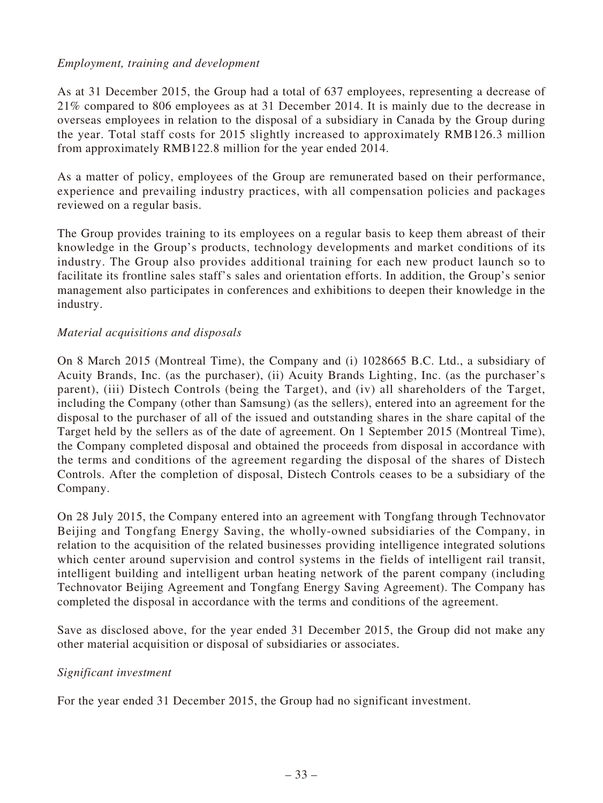## *Employment, training and development*

As at 31 December 2015, the Group had a total of 637 employees, representing a decrease of 21% compared to 806 employees as at 31 December 2014. It is mainly due to the decrease in overseas employees in relation to the disposal of a subsidiary in Canada by the Group during the year. Total staff costs for 2015 slightly increased to approximately RMB126.3 million from approximately RMB122.8 million for the year ended 2014.

As a matter of policy, employees of the Group are remunerated based on their performance, experience and prevailing industry practices, with all compensation policies and packages reviewed on a regular basis.

The Group provides training to its employees on a regular basis to keep them abreast of their knowledge in the Group's products, technology developments and market conditions of its industry. The Group also provides additional training for each new product launch so to facilitate its frontline sales staff's sales and orientation efforts. In addition, the Group's senior management also participates in conferences and exhibitions to deepen their knowledge in the industry.

### *Material acquisitions and disposals*

On 8 March 2015 (Montreal Time), the Company and (i) 1028665 B.C. Ltd., a subsidiary of Acuity Brands, Inc. (as the purchaser), (ii) Acuity Brands Lighting, Inc. (as the purchaser's parent), (iii) Distech Controls (being the Target), and (iv) all shareholders of the Target, including the Company (other than Samsung) (as the sellers), entered into an agreement for the disposal to the purchaser of all of the issued and outstanding shares in the share capital of the Target held by the sellers as of the date of agreement. On 1 September 2015 (Montreal Time), the Company completed disposal and obtained the proceeds from disposal in accordance with the terms and conditions of the agreement regarding the disposal of the shares of Distech Controls. After the completion of disposal, Distech Controls ceases to be a subsidiary of the Company.

On 28 July 2015, the Company entered into an agreement with Tongfang through Technovator Beijing and Tongfang Energy Saving, the wholly-owned subsidiaries of the Company, in relation to the acquisition of the related businesses providing intelligence integrated solutions which center around supervision and control systems in the fields of intelligent rail transit, intelligent building and intelligent urban heating network of the parent company (including Technovator Beijing Agreement and Tongfang Energy Saving Agreement). The Company has completed the disposal in accordance with the terms and conditions of the agreement.

Save as disclosed above, for the year ended 31 December 2015, the Group did not make any other material acquisition or disposal of subsidiaries or associates.

### *Significant investment*

For the year ended 31 December 2015, the Group had no significant investment.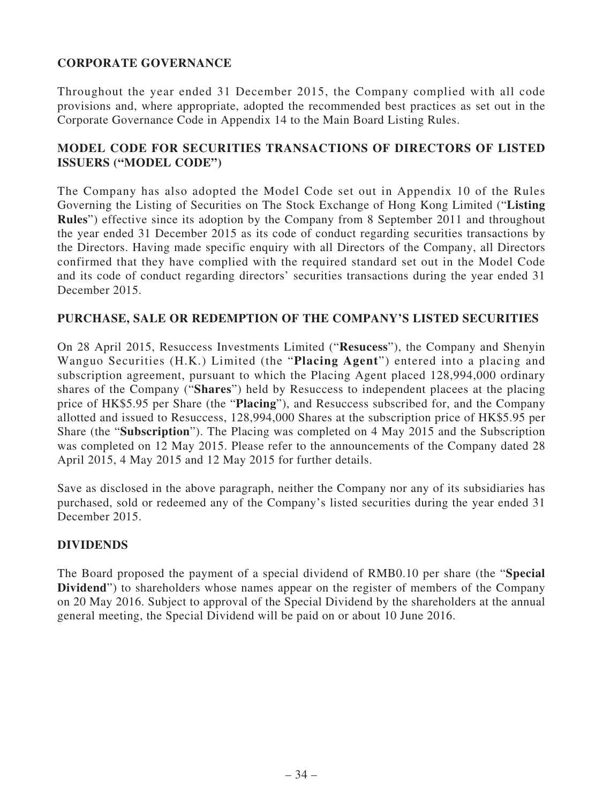# **CORPORATE GOVERNANCE**

Throughout the year ended 31 December 2015, the Company complied with all code provisions and, where appropriate, adopted the recommended best practices as set out in the Corporate Governance Code in Appendix 14 to the Main Board Listing Rules.

# **MODEL CODE FOR SECURITIES TRANSACTIONS OF DIRECTORS OF LISTED ISSUERS ("MODEL CODE")**

The Company has also adopted the Model Code set out in Appendix 10 of the Rules Governing the Listing of Securities on The Stock Exchange of Hong Kong Limited ("**Listing Rules**") effective since its adoption by the Company from 8 September 2011 and throughout the year ended 31 December 2015 as its code of conduct regarding securities transactions by the Directors. Having made specific enquiry with all Directors of the Company, all Directors confirmed that they have complied with the required standard set out in the Model Code and its code of conduct regarding directors' securities transactions during the year ended 31 December 2015.

### **PURCHASE, SALE OR REDEMPTION OF THE COMPANY'S LISTED SECURITIES**

On 28 April 2015, Resuccess Investments Limited ("**Resucess**"), the Company and Shenyin Wanguo Securities (H.K.) Limited (the "**Placing Agent**") entered into a placing and subscription agreement, pursuant to which the Placing Agent placed 128,994,000 ordinary shares of the Company ("**Shares**") held by Resuccess to independent placees at the placing price of HK\$5.95 per Share (the "**Placing**"), and Resuccess subscribed for, and the Company allotted and issued to Resuccess, 128,994,000 Shares at the subscription price of HK\$5.95 per Share (the "**Subscription**"). The Placing was completed on 4 May 2015 and the Subscription was completed on 12 May 2015. Please refer to the announcements of the Company dated 28 April 2015, 4 May 2015 and 12 May 2015 for further details.

Save as disclosed in the above paragraph, neither the Company nor any of its subsidiaries has purchased, sold or redeemed any of the Company's listed securities during the year ended 31 December 2015.

### **DIVIDENDS**

The Board proposed the payment of a special dividend of RMB0.10 per share (the "**Special Dividend**") to shareholders whose names appear on the register of members of the Company on 20 May 2016. Subject to approval of the Special Dividend by the shareholders at the annual general meeting, the Special Dividend will be paid on or about 10 June 2016.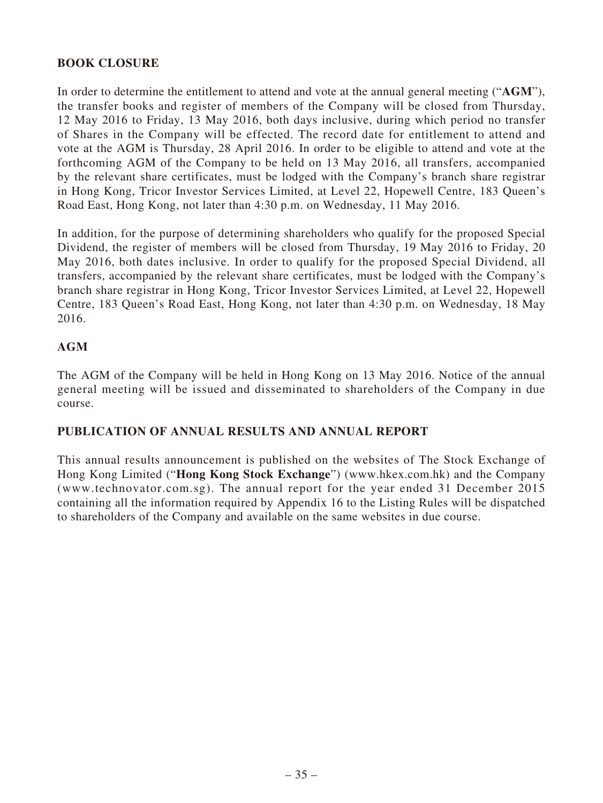# **BOOK CLOSURE**

In order to determine the entitlement to attend and vote at the annual general meeting ("**AGM**"), the transfer books and register of members of the Company will be closed from Thursday, 12 May 2016 to Friday, 13 May 2016, both days inclusive, during which period no transfer of Shares in the Company will be effected. The record date for entitlement to attend and vote at the AGM is Thursday, 28 April 2016. In order to be eligible to attend and vote at the forthcoming AGM of the Company to be held on 13 May 2016, all transfers, accompanied by the relevant share certificates, must be lodged with the Company's branch share registrar in Hong Kong, Tricor Investor Services Limited, at Level 22, Hopewell Centre, 183 Queen's Road East, Hong Kong, not later than 4:30 p.m. on Wednesday, 11 May 2016.

In addition, for the purpose of determining shareholders who qualify for the proposed Special Dividend, the register of members will be closed from Thursday, 19 May 2016 to Friday, 20 May 2016, both dates inclusive. In order to qualify for the proposed Special Dividend, all transfers, accompanied by the relevant share certificates, must be lodged with the Company's branch share registrar in Hong Kong, Tricor Investor Services Limited, at Level 22, Hopewell Centre, 183 Queen's Road East, Hong Kong, not later than 4:30 p.m. on Wednesday, 18 May 2016.

# **AGM**

The AGM of the Company will be held in Hong Kong on 13 May 2016. Notice of the annual general meeting will be issued and disseminated to shareholders of the Company in due course.

# **PUBLICATION OF ANNUAL RESULTS AND ANNUAL REPORT**

This annual results announcement is published on the websites of The Stock Exchange of Hong Kong Limited ("**Hong Kong Stock Exchange**") (www.hkex.com.hk) and the Company (www.technovator.com.sg). The annual report for the year ended 31 December 2015 containing all the information required by Appendix 16 to the Listing Rules will be dispatched to shareholders of the Company and available on the same websites in due course.